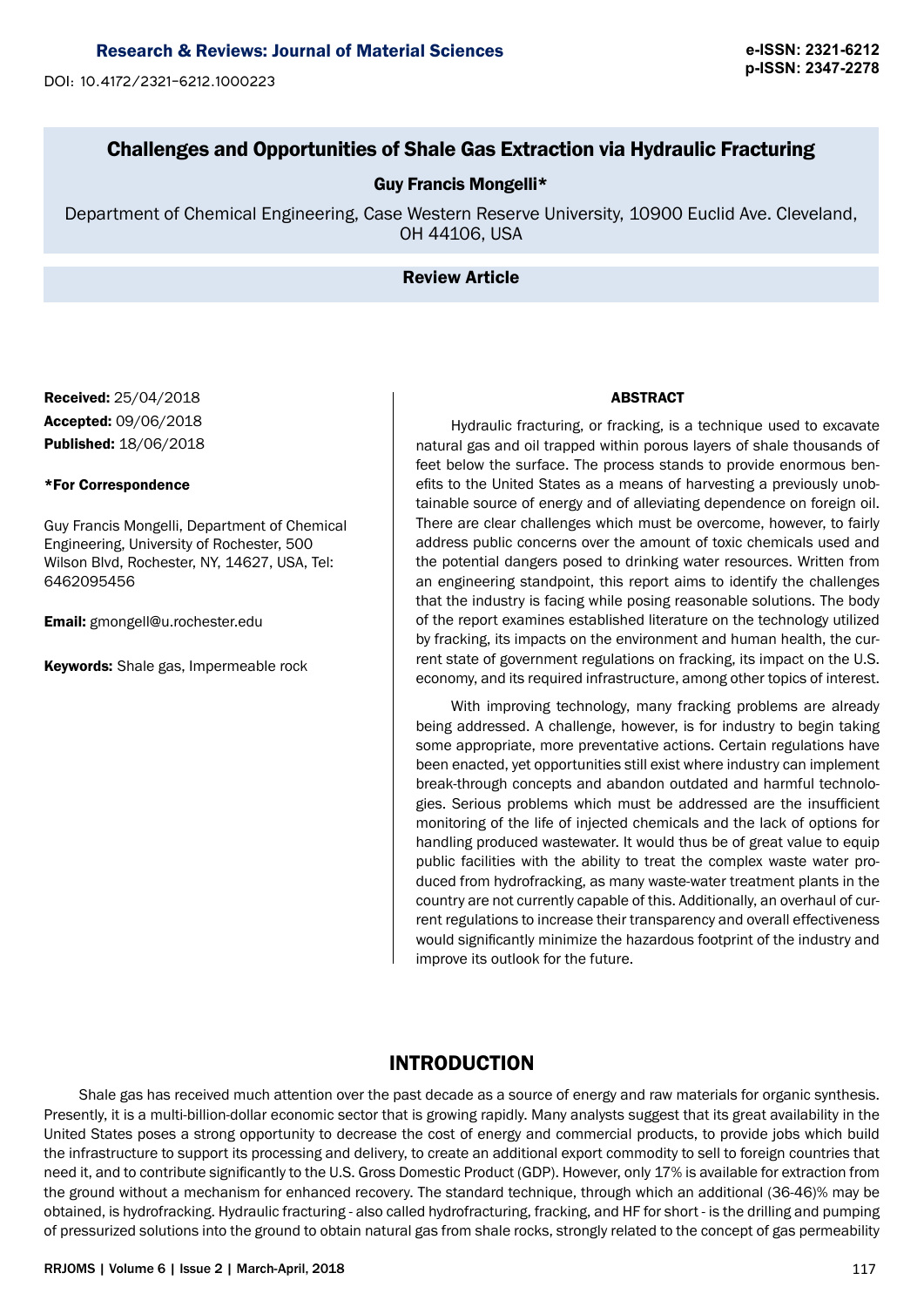# Research & Reviews: Journal of Material Sciences **e-ISSN: 2321-6212**

**p-ISSN: 2347-2278** DOI: 10.4172/2321-6212.1000223

# Challenges and Opportunities of Shale Gas Extraction via Hydraulic Fracturing

## Guy Francis Mongelli\*

Department of Chemical Engineering, Case Western Reserve University, 10900 Euclid Ave. Cleveland, OH 44106, USA

## Review Article

Received: 25/04/2018 Accepted: 09/06/2018 Published: 18/06/2018

## \*For Correspondence

Guy Francis Mongelli, Department of Chemical Engineering, University of Rochester, 500 Wilson Blvd, Rochester, NY, 14627, USA, Tel: 6462095456

Email: gmongell@u.rochester.edu

Keywords: Shale gas, Impermeable rock

#### ABSTRACT

Hydraulic fracturing, or fracking, is a technique used to excavate natural gas and oil trapped within porous layers of shale thousands of feet below the surface. The process stands to provide enormous benefits to the United States as a means of harvesting a previously unobtainable source of energy and of alleviating dependence on foreign oil. There are clear challenges which must be overcome, however, to fairly address public concerns over the amount of toxic chemicals used and the potential dangers posed to drinking water resources. Written from an engineering standpoint, this report aims to identify the challenges that the industry is facing while posing reasonable solutions. The body of the report examines established literature on the technology utilized by fracking, its impacts on the environment and human health, the current state of government regulations on fracking, its impact on the U.S. economy, and its required infrastructure, among other topics of interest.

With improving technology, many fracking problems are already being addressed. A challenge, however, is for industry to begin taking some appropriate, more preventative actions. Certain regulations have been enacted, yet opportunities still exist where industry can implement break-through concepts and abandon outdated and harmful technologies. Serious problems which must be addressed are the insufficient monitoring of the life of injected chemicals and the lack of options for handling produced wastewater. It would thus be of great value to equip public facilities with the ability to treat the complex waste water produced from hydrofracking, as many waste-water treatment plants in the country are not currently capable of this. Additionally, an overhaul of current regulations to increase their transparency and overall effectiveness would significantly minimize the hazardous footprint of the industry and improve its outlook for the future.

# INTRODUCTION

Shale gas has received much attention over the past decade as a source of energy and raw materials for organic synthesis. Presently, it is a multi-billion-dollar economic sector that is growing rapidly. Many analysts suggest that its great availability in the United States poses a strong opportunity to decrease the cost of energy and commercial products, to provide jobs which build the infrastructure to support its processing and delivery, to create an additional export commodity to sell to foreign countries that need it, and to contribute significantly to the U.S. Gross Domestic Product (GDP). However, only 17% is available for extraction from the ground without a mechanism for enhanced recovery. The standard technique, through which an additional (36-46)% may be obtained, is hydrofracking. Hydraulic fracturing - also called hydrofracturing, fracking, and HF for short - is the drilling and pumping of pressurized solutions into the ground to obtain natural gas from shale rocks, strongly related to the concept of gas permeability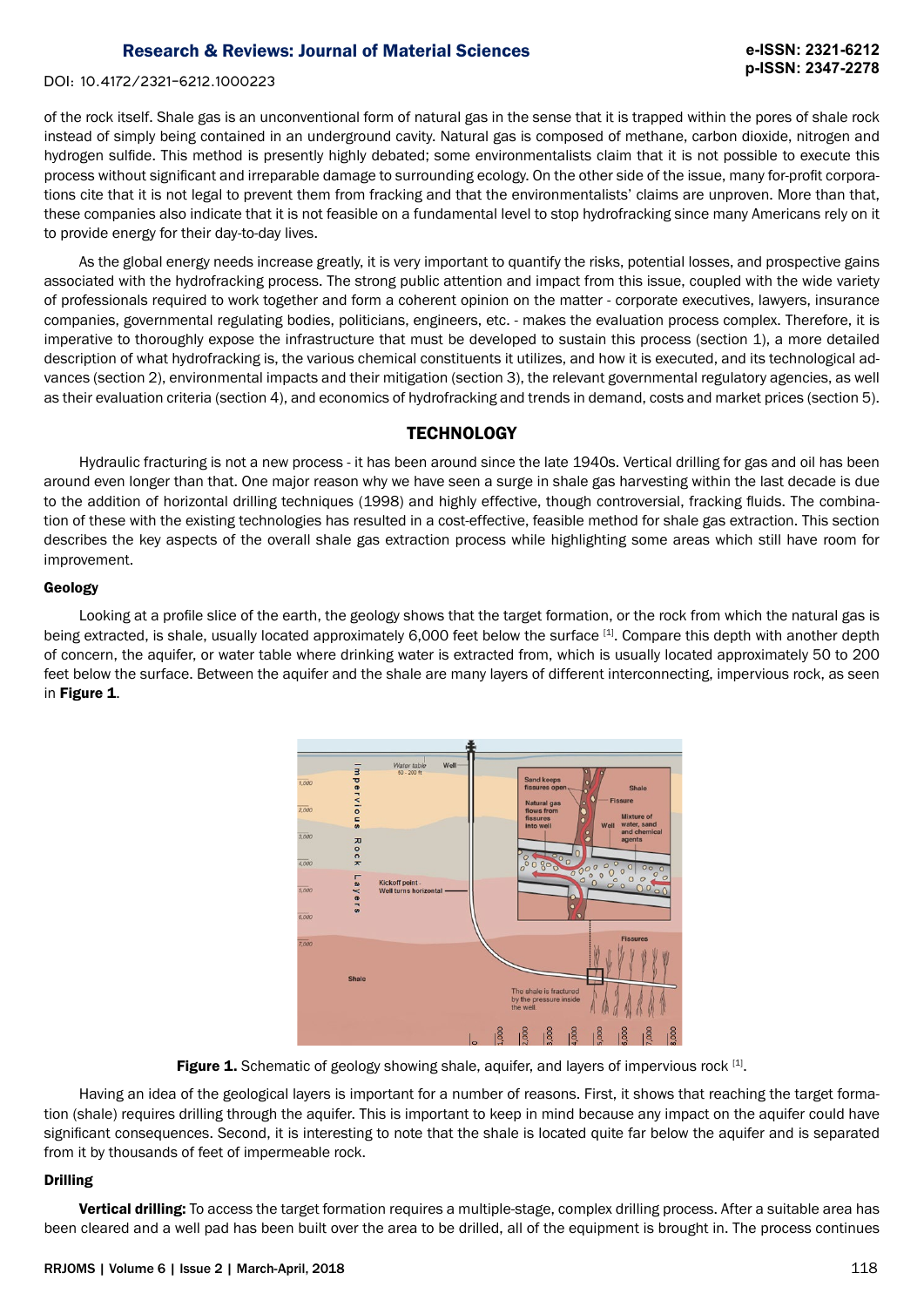DOI: 10.4172/2321-6212.1000223

of the rock itself. Shale gas is an unconventional form of natural gas in the sense that it is trapped within the pores of shale rock instead of simply being contained in an underground cavity. Natural gas is composed of methane, carbon dioxide, nitrogen and hydrogen sulfide. This method is presently highly debated; some environmentalists claim that it is not possible to execute this process without significant and irreparable damage to surrounding ecology. On the other side of the issue, many for-profit corporations cite that it is not legal to prevent them from fracking and that the environmentalists' claims are unproven. More than that, these companies also indicate that it is not feasible on a fundamental level to stop hydrofracking since many Americans rely on it to provide energy for their day-to-day lives.

As the global energy needs increase greatly, it is very important to quantify the risks, potential losses, and prospective gains associated with the hydrofracking process. The strong public attention and impact from this issue, coupled with the wide variety of professionals required to work together and form a coherent opinion on the matter - corporate executives, lawyers, insurance companies, governmental regulating bodies, politicians, engineers, etc. - makes the evaluation process complex. Therefore, it is imperative to thoroughly expose the infrastructure that must be developed to sustain this process (section 1), a more detailed description of what hydrofracking is, the various chemical constituents it utilizes, and how it is executed, and its technological advances (section 2), environmental impacts and their mitigation (section 3), the relevant governmental regulatory agencies, as well as their evaluation criteria (section 4), and economics of hydrofracking and trends in demand, costs and market prices (section 5).

## **TECHNOLOGY**

Hydraulic fracturing is not a new process - it has been around since the late 1940s. Vertical drilling for gas and oil has been around even longer than that. One major reason why we have seen a surge in shale gas harvesting within the last decade is due to the addition of horizontal drilling techniques (1998) and highly effective, though controversial, fracking fluids. The combination of these with the existing technologies has resulted in a cost-effective, feasible method for shale gas extraction. This section describes the key aspects of the overall shale gas extraction process while highlighting some areas which still have room for improvement.

#### Geology

Looking at a profile slice of the earth, the geology shows that the target formation, or the rock from which the natural gas is being extracted, is shale, usually located approximately 6,000 feet below the surface [1]. Compare this depth with another depth of concern, the aquifer, or water table where drinking water is extracted from, which is usually located approximately 50 to 200 feet below the surface. Between the aquifer and the shale are many layers of different interconnecting, impervious rock, as seen in Figure 1.



Figure 1. Schematic of geology showing shale, aquifer, and layers of impervious rock [1].

Having an idea of the geological layers is important for a number of reasons. First, it shows that reaching the target formation (shale) requires drilling through the aquifer. This is important to keep in mind because any impact on the aquifer could have significant consequences. Second, it is interesting to note that the shale is located quite far below the aquifer and is separated from it by thousands of feet of impermeable rock.

## Drilling

Vertical drilling: To access the target formation requires a multiple-stage, complex drilling process. After a suitable area has been cleared and a well pad has been built over the area to be drilled, all of the equipment is brought in. The process continues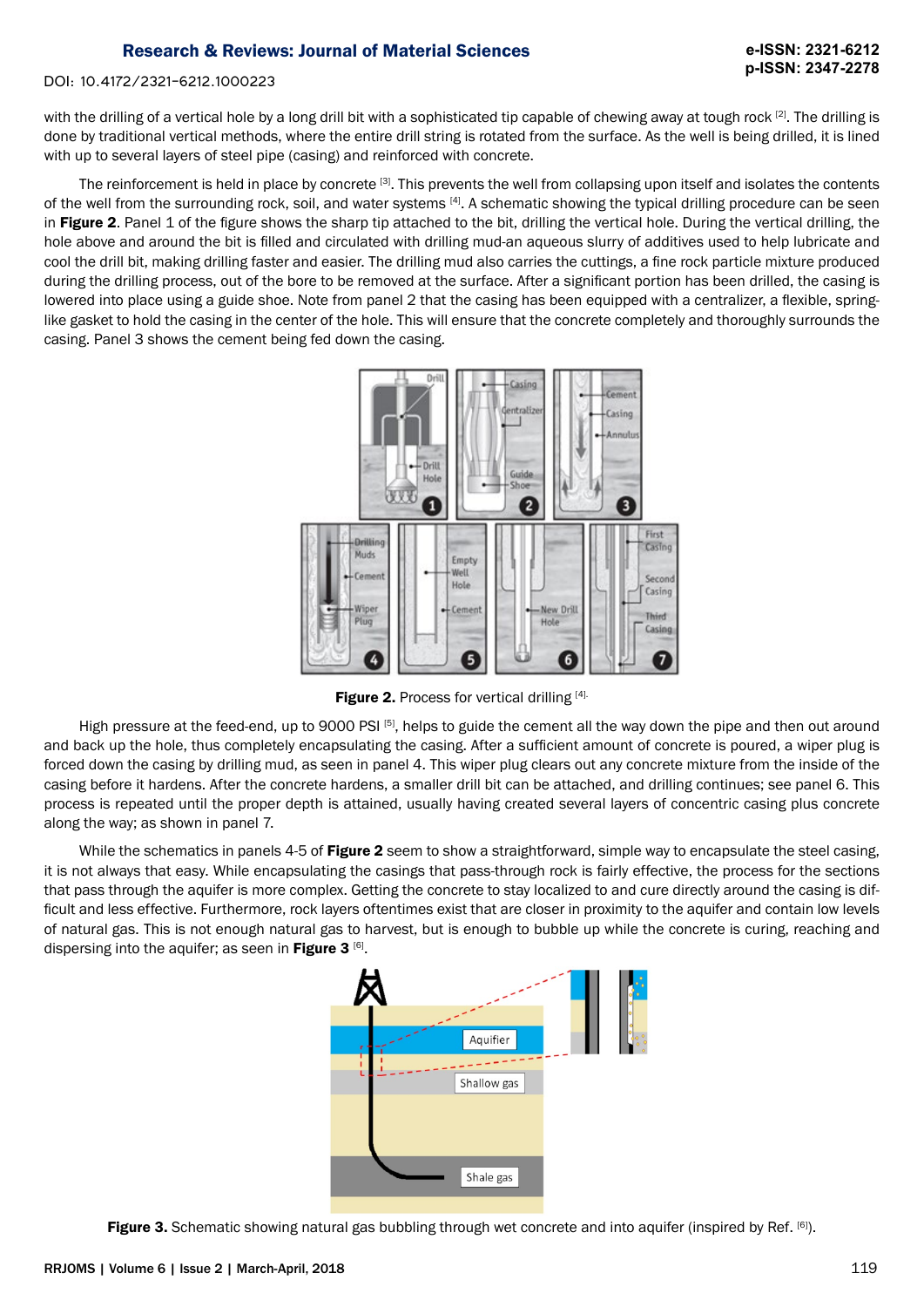#### DOI: 10.4172/2321-6212.1000223

with the drilling of a vertical hole by a long drill bit with a sophisticated tip capable of chewing away at tough rock <sup>[2]</sup>. The drilling is done by traditional vertical methods, where the entire drill string is rotated from the surface. As the well is being drilled, it is lined with up to several layers of steel pipe (casing) and reinforced with concrete.

The reinforcement is held in place by concrete [3]. This prevents the well from collapsing upon itself and isolates the contents of the well from the surrounding rock, soil, and water systems [4]. A schematic showing the typical drilling procedure can be seen in Figure 2. Panel 1 of the figure shows the sharp tip attached to the bit, drilling the vertical hole. During the vertical drilling, the hole above and around the bit is filled and circulated with drilling mud-an aqueous slurry of additives used to help lubricate and cool the drill bit, making drilling faster and easier. The drilling mud also carries the cuttings, a fine rock particle mixture produced during the drilling process, out of the bore to be removed at the surface. After a significant portion has been drilled, the casing is lowered into place using a guide shoe. Note from panel 2 that the casing has been equipped with a centralizer, a flexible, springlike gasket to hold the casing in the center of the hole. This will ensure that the concrete completely and thoroughly surrounds the casing. Panel 3 shows the cement being fed down the casing.



Figure 2. Process for vertical drilling [4].

High pressure at the feed-end, up to 9000 PSI [5], helps to guide the cement all the way down the pipe and then out around and back up the hole, thus completely encapsulating the casing. After a sufficient amount of concrete is poured, a wiper plug is forced down the casing by drilling mud, as seen in panel 4. This wiper plug clears out any concrete mixture from the inside of the casing before it hardens. After the concrete hardens, a smaller drill bit can be attached, and drilling continues; see panel 6. This process is repeated until the proper depth is attained, usually having created several layers of concentric casing plus concrete along the way; as shown in panel 7.

While the schematics in panels 4-5 of Figure 2 seem to show a straightforward, simple way to encapsulate the steel casing, it is not always that easy. While encapsulating the casings that pass-through rock is fairly effective, the process for the sections that pass through the aquifer is more complex. Getting the concrete to stay localized to and cure directly around the casing is difficult and less effective. Furthermore, rock layers oftentimes exist that are closer in proximity to the aquifer and contain low levels of natural gas. This is not enough natural gas to harvest, but is enough to bubble up while the concrete is curing, reaching and dispersing into the aquifer; as seen in Figure  $3^{[6]}$ .



Figure 3. Schematic showing natural gas bubbling through wet concrete and into aquifer (inspired by Ref. <sup>[6]</sup>).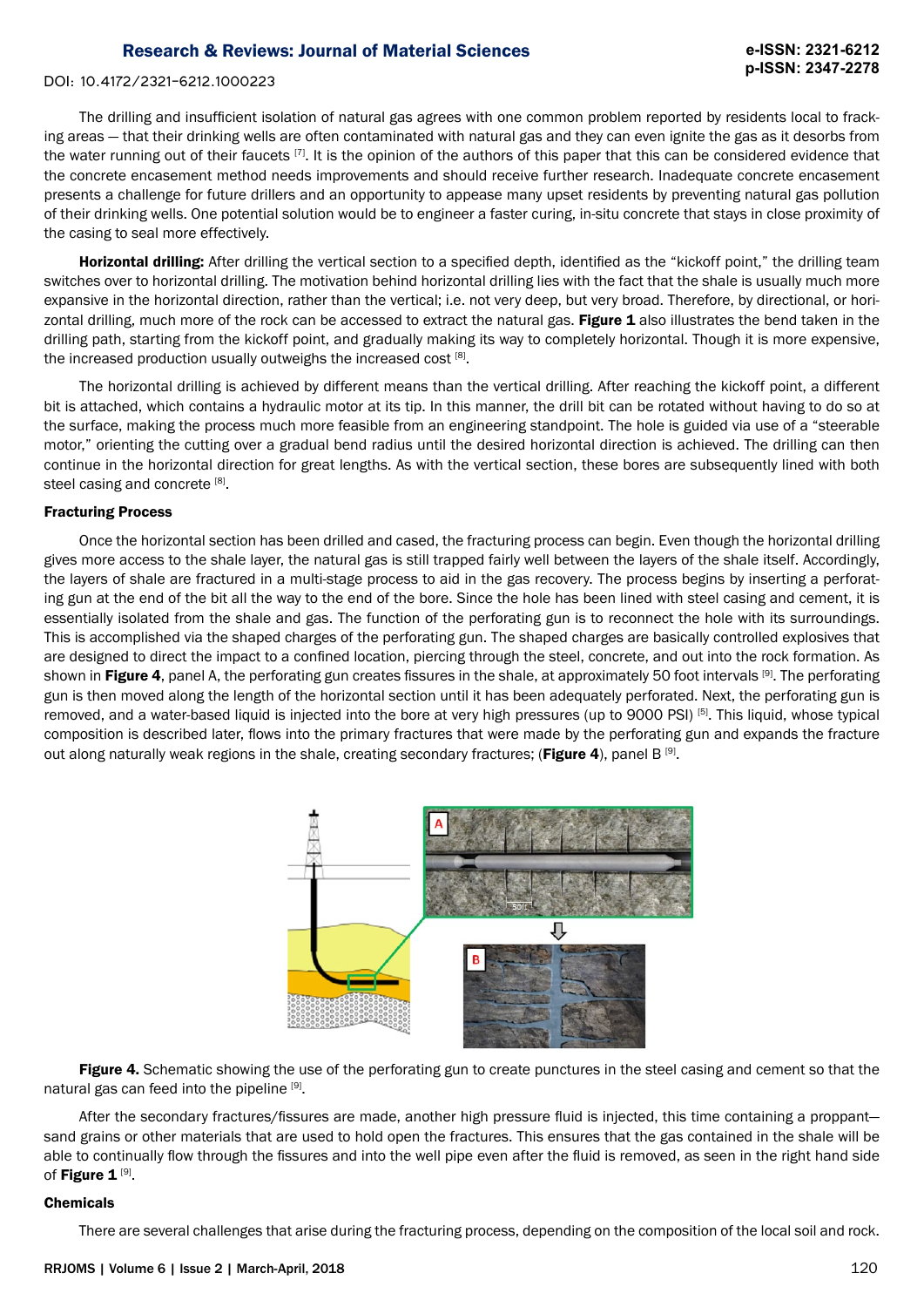#### DOI: 10.4172/2321-6212.1000223

The drilling and insufficient isolation of natural gas agrees with one common problem reported by residents local to fracking areas — that their drinking wells are often contaminated with natural gas and they can even ignite the gas as it desorbs from the water running out of their faucets [7]. It is the opinion of the authors of this paper that this can be considered evidence that the concrete encasement method needs improvements and should receive further research. Inadequate concrete encasement presents a challenge for future drillers and an opportunity to appease many upset residents by preventing natural gas pollution of their drinking wells. One potential solution would be to engineer a faster curing, in-situ concrete that stays in close proximity of the casing to seal more effectively.

Horizontal drilling: After drilling the vertical section to a specified depth, identified as the "kickoff point," the drilling team switches over to horizontal drilling. The motivation behind horizontal drilling lies with the fact that the shale is usually much more expansive in the horizontal direction, rather than the vertical; i.e. not very deep, but very broad. Therefore, by directional, or horizontal drilling, much more of the rock can be accessed to extract the natural gas. Figure 1 also illustrates the bend taken in the drilling path, starting from the kickoff point, and gradually making its way to completely horizontal. Though it is more expensive, the increased production usually outweighs the increased cost [8].

The horizontal drilling is achieved by different means than the vertical drilling. After reaching the kickoff point, a different bit is attached, which contains a hydraulic motor at its tip. In this manner, the drill bit can be rotated without having to do so at the surface, making the process much more feasible from an engineering standpoint. The hole is guided via use of a "steerable motor," orienting the cutting over a gradual bend radius until the desired horizontal direction is achieved. The drilling can then continue in the horizontal direction for great lengths. As with the vertical section, these bores are subsequently lined with both steel casing and concrete [8].

#### Fracturing Process

Once the horizontal section has been drilled and cased, the fracturing process can begin. Even though the horizontal drilling gives more access to the shale layer, the natural gas is still trapped fairly well between the layers of the shale itself. Accordingly, the layers of shale are fractured in a multi-stage process to aid in the gas recovery. The process begins by inserting a perforating gun at the end of the bit all the way to the end of the bore. Since the hole has been lined with steel casing and cement, it is essentially isolated from the shale and gas. The function of the perforating gun is to reconnect the hole with its surroundings. This is accomplished via the shaped charges of the perforating gun. The shaped charges are basically controlled explosives that are designed to direct the impact to a confined location, piercing through the steel, concrete, and out into the rock formation. As shown in Figure 4, panel A, the perforating gun creates fissures in the shale, at approximately 50 foot intervals [9]. The perforating gun is then moved along the length of the horizontal section until it has been adequately perforated. Next, the perforating gun is removed, and a water-based liquid is injected into the bore at very high pressures (up to 9000 PSI) [5]. This liquid, whose typical composition is described later, flows into the primary fractures that were made by the perforating gun and expands the fracture out along naturally weak regions in the shale, creating secondary fractures; (Figure 4), panel B  $^{[9]}$ .



Figure 4. Schematic showing the use of the perforating gun to create punctures in the steel casing and cement so that the natural gas can feed into the pipeline [9].

After the secondary fractures/fissures are made, another high pressure fluid is injected, this time containing a proppant sand grains or other materials that are used to hold open the fractures. This ensures that the gas contained in the shale will be able to continually flow through the fissures and into the well pipe even after the fluid is removed, as seen in the right hand side of Figure 1<sup>[9]</sup>.

#### Chemicals

There are several challenges that arise during the fracturing process, depending on the composition of the local soil and rock.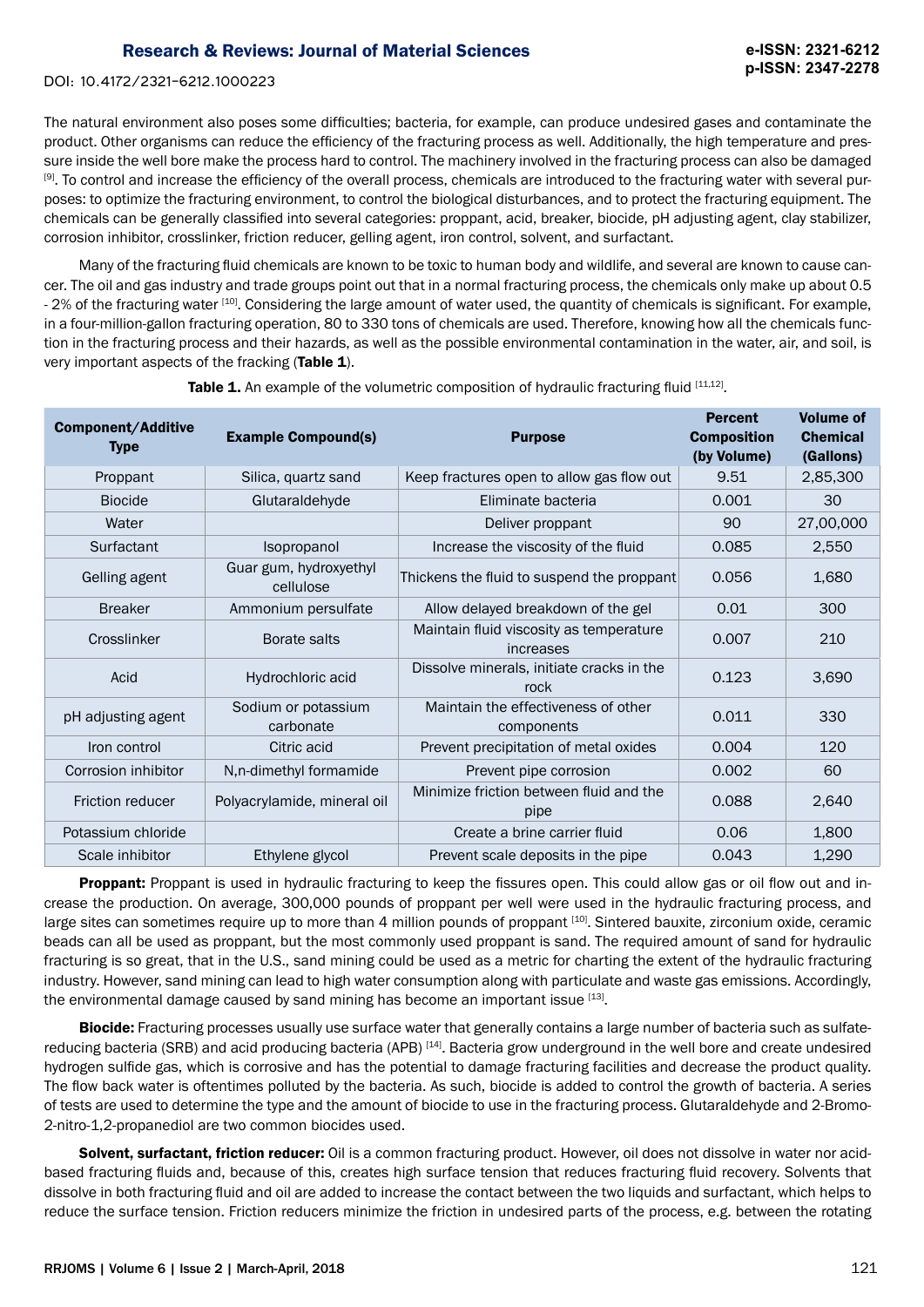DOI: 10.4172/2321-6212.1000223

The natural environment also poses some difficulties; bacteria, for example, can produce undesired gases and contaminate the product. Other organisms can reduce the efficiency of the fracturing process as well. Additionally, the high temperature and pressure inside the well bore make the process hard to control. The machinery involved in the fracturing process can also be damaged [9]. To control and increase the efficiency of the overall process, chemicals are introduced to the fracturing water with several purposes: to optimize the fracturing environment, to control the biological disturbances, and to protect the fracturing equipment. The chemicals can be generally classified into several categories: proppant, acid, breaker, biocide, pH adjusting agent, clay stabilizer, corrosion inhibitor, crosslinker, friction reducer, gelling agent, iron control, solvent, and surfactant.

Many of the fracturing fluid chemicals are known to be toxic to human body and wildlife, and several are known to cause cancer. The oil and gas industry and trade groups point out that in a normal fracturing process, the chemicals only make up about 0.5 - 2% of the fracturing water <sup>[10]</sup>. Considering the large amount of water used, the quantity of chemicals is significant. For example, in a four-million-gallon fracturing operation, 80 to 330 tons of chemicals are used. Therefore, knowing how all the chemicals function in the fracturing process and their hazards, as well as the possible environmental contamination in the water, air, and soil, is very important aspects of the fracking (Table 1).

| <b>Component/Additive</b><br><b>Type</b> | <b>Example Compound(s)</b>          | <b>Purpose</b>                                       |       | <b>Volume of</b><br><b>Chemical</b><br>(Gallons) |
|------------------------------------------|-------------------------------------|------------------------------------------------------|-------|--------------------------------------------------|
| Proppant                                 | Silica, quartz sand                 | Keep fractures open to allow gas flow out            | 9.51  | 2,85,300                                         |
| <b>Biocide</b>                           | Glutaraldehyde                      | Eliminate bacteria                                   | 0.001 | 30                                               |
| Water                                    |                                     | Deliver proppant                                     | 90    | 27,00,000                                        |
| Surfactant                               | Isopropanol                         | Increase the viscosity of the fluid                  | 0.085 | 2,550                                            |
| Gelling agent                            | Guar gum, hydroxyethyl<br>cellulose | Thickens the fluid to suspend the proppant           | 0.056 | 1,680                                            |
| <b>Breaker</b>                           | Ammonium persulfate                 | Allow delayed breakdown of the gel                   | 0.01  | 300                                              |
| Crosslinker                              | Borate salts                        | Maintain fluid viscosity as temperature<br>increases | 0.007 | 210                                              |
| Acid                                     | Hydrochloric acid                   | Dissolve minerals, initiate cracks in the<br>rock    | 0.123 | 3,690                                            |
| pH adjusting agent                       | Sodium or potassium<br>carbonate    | Maintain the effectiveness of other<br>components    | 0.011 | 330                                              |
| Iron control                             | Citric acid                         | Prevent precipitation of metal oxides                | 0.004 | 120                                              |
| Corrosion inhibitor                      | N,n-dimethyl formamide              | Prevent pipe corrosion                               | 0.002 | 60                                               |
| <b>Friction reducer</b>                  | Polyacrylamide, mineral oil         | Minimize friction between fluid and the<br>pipe      | 0.088 | 2,640                                            |
| Potassium chloride                       |                                     | Create a brine carrier fluid                         | 0.06  | 1,800                                            |
| Scale inhibitor                          | Ethylene glycol                     | Prevent scale deposits in the pipe                   | 0.043 | 1,290                                            |

**Table 1.** An example of the volumetric composition of hydraulic fracturing fluid [11,12].

**Proppant:** Proppant is used in hydraulic fracturing to keep the fissures open. This could allow gas or oil flow out and increase the production. On average, 300,000 pounds of proppant per well were used in the hydraulic fracturing process, and large sites can sometimes require up to more than 4 million pounds of proppant [10]. Sintered bauxite, zirconium oxide, ceramic beads can all be used as proppant, but the most commonly used proppant is sand. The required amount of sand for hydraulic fracturing is so great, that in the U.S., sand mining could be used as a metric for charting the extent of the hydraulic fracturing industry. However, sand mining can lead to high water consumption along with particulate and waste gas emissions. Accordingly, the environmental damage caused by sand mining has become an important issue [13].

Biocide: Fracturing processes usually use surface water that generally contains a large number of bacteria such as sulfatereducing bacteria (SRB) and acid producing bacteria (APB) [14]. Bacteria grow underground in the well bore and create undesired hydrogen sulfide gas, which is corrosive and has the potential to damage fracturing facilities and decrease the product quality. The flow back water is oftentimes polluted by the bacteria. As such, biocide is added to control the growth of bacteria. A series of tests are used to determine the type and the amount of biocide to use in the fracturing process. Glutaraldehyde and 2-Bromo-2-nitro-1,2-propanediol are two common biocides used.

Solvent, surfactant, friction reducer: Oil is a common fracturing product. However, oil does not dissolve in water nor acidbased fracturing fluids and, because of this, creates high surface tension that reduces fracturing fluid recovery. Solvents that dissolve in both fracturing fluid and oil are added to increase the contact between the two liquids and surfactant, which helps to reduce the surface tension. Friction reducers minimize the friction in undesired parts of the process, e.g. between the rotating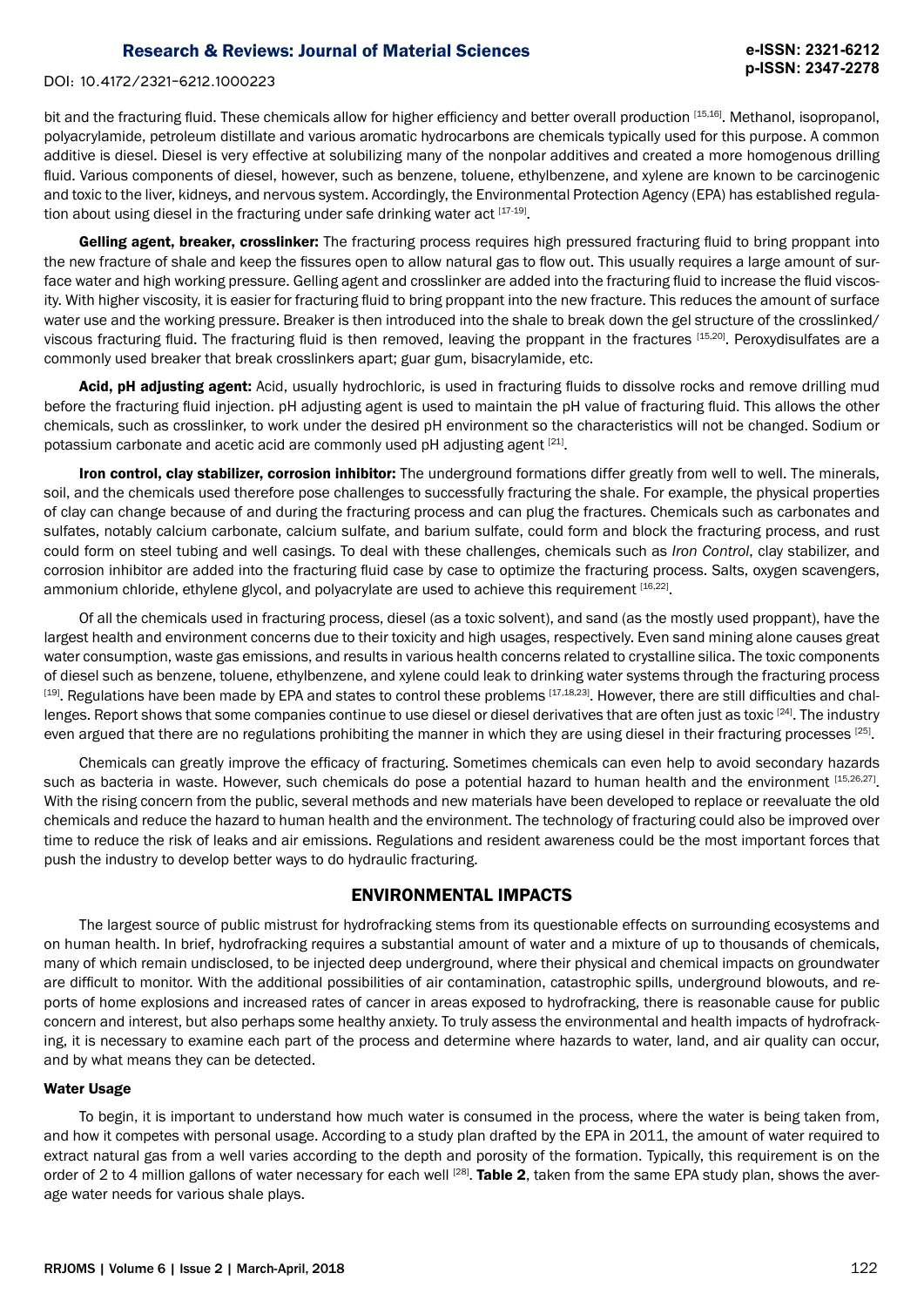#### DOI: 10.4172/2321-6212.1000223

bit and the fracturing fluid. These chemicals allow for higher efficiency and better overall production [15,16]. Methanol, isopropanol, polyacrylamide, petroleum distillate and various aromatic hydrocarbons are chemicals typically used for this purpose. A common additive is diesel. Diesel is very effective at solubilizing many of the nonpolar additives and created a more homogenous drilling fluid. Various components of diesel, however, such as benzene, toluene, ethylbenzene, and xylene are known to be carcinogenic and toxic to the liver, kidneys, and nervous system. Accordingly, the Environmental Protection Agency (EPA) has established regulation about using diesel in the fracturing under safe drinking water act  $[17-19]$ .

Gelling agent, breaker, crosslinker: The fracturing process requires high pressured fracturing fluid to bring proppant into the new fracture of shale and keep the fissures open to allow natural gas to flow out. This usually requires a large amount of surface water and high working pressure. Gelling agent and crosslinker are added into the fracturing fluid to increase the fluid viscosity. With higher viscosity, it is easier for fracturing fluid to bring proppant into the new fracture. This reduces the amount of surface water use and the working pressure. Breaker is then introduced into the shale to break down the gel structure of the crosslinked/ viscous fracturing fluid. The fracturing fluid is then removed, leaving the proppant in the fractures [15,20]. Peroxydisulfates are a commonly used breaker that break crosslinkers apart; guar gum, bisacrylamide, etc.

Acid, pH adjusting agent: Acid, usually hydrochloric, is used in fracturing fluids to dissolve rocks and remove drilling mud before the fracturing fluid injection. pH adjusting agent is used to maintain the pH value of fracturing fluid. This allows the other chemicals, such as crosslinker, to work under the desired pH environment so the characteristics will not be changed. Sodium or potassium carbonate and acetic acid are commonly used pH adjusting agent [21].

Iron control, clay stabilizer, corrosion inhibitor: The underground formations differ greatly from well to well. The minerals, soil, and the chemicals used therefore pose challenges to successfully fracturing the shale. For example, the physical properties of clay can change because of and during the fracturing process and can plug the fractures. Chemicals such as carbonates and sulfates, notably calcium carbonate, calcium sulfate, and barium sulfate, could form and block the fracturing process, and rust could form on steel tubing and well casings. To deal with these challenges, chemicals such as *Iron Control*, clay stabilizer, and corrosion inhibitor are added into the fracturing fluid case by case to optimize the fracturing process. Salts, oxygen scavengers, ammonium chloride, ethylene glycol, and polyacrylate are used to achieve this requirement [16,22].

Of all the chemicals used in fracturing process, diesel (as a toxic solvent), and sand (as the mostly used proppant), have the largest health and environment concerns due to their toxicity and high usages, respectively. Even sand mining alone causes great water consumption, waste gas emissions, and results in various health concerns related to crystalline silica. The toxic components of diesel such as benzene, toluene, ethylbenzene, and xylene could leak to drinking water systems through the fracturing process [19]. Regulations have been made by EPA and states to control these problems [17,18,23]. However, there are still difficulties and challenges. Report shows that some companies continue to use diesel or diesel derivatives that are often just as toxic [24]. The industry even argued that there are no regulations prohibiting the manner in which they are using diesel in their fracturing processes [25].

Chemicals can greatly improve the efficacy of fracturing. Sometimes chemicals can even help to avoid secondary hazards such as bacteria in waste. However, such chemicals do pose a potential hazard to human health and the environment [15,26,27]. With the rising concern from the public, several methods and new materials have been developed to replace or reevaluate the old chemicals and reduce the hazard to human health and the environment. The technology of fracturing could also be improved over time to reduce the risk of leaks and air emissions. Regulations and resident awareness could be the most important forces that push the industry to develop better ways to do hydraulic fracturing.

## ENVIRONMENTAL IMPACTS

The largest source of public mistrust for hydrofracking stems from its questionable effects on surrounding ecosystems and on human health. In brief, hydrofracking requires a substantial amount of water and a mixture of up to thousands of chemicals, many of which remain undisclosed, to be injected deep underground, where their physical and chemical impacts on groundwater are difficult to monitor. With the additional possibilities of air contamination, catastrophic spills, underground blowouts, and reports of home explosions and increased rates of cancer in areas exposed to hydrofracking, there is reasonable cause for public concern and interest, but also perhaps some healthy anxiety. To truly assess the environmental and health impacts of hydrofracking, it is necessary to examine each part of the process and determine where hazards to water, land, and air quality can occur, and by what means they can be detected.

#### Water Usage

To begin, it is important to understand how much water is consumed in the process, where the water is being taken from, and how it competes with personal usage. According to a study plan drafted by the EPA in 2011, the amount of water required to extract natural gas from a well varies according to the depth and porosity of the formation. Typically, this requirement is on the order of 2 to 4 million gallons of water necessary for each well  $^{[28]}$ . Table 2, taken from the same EPA study plan, shows the average water needs for various shale plays.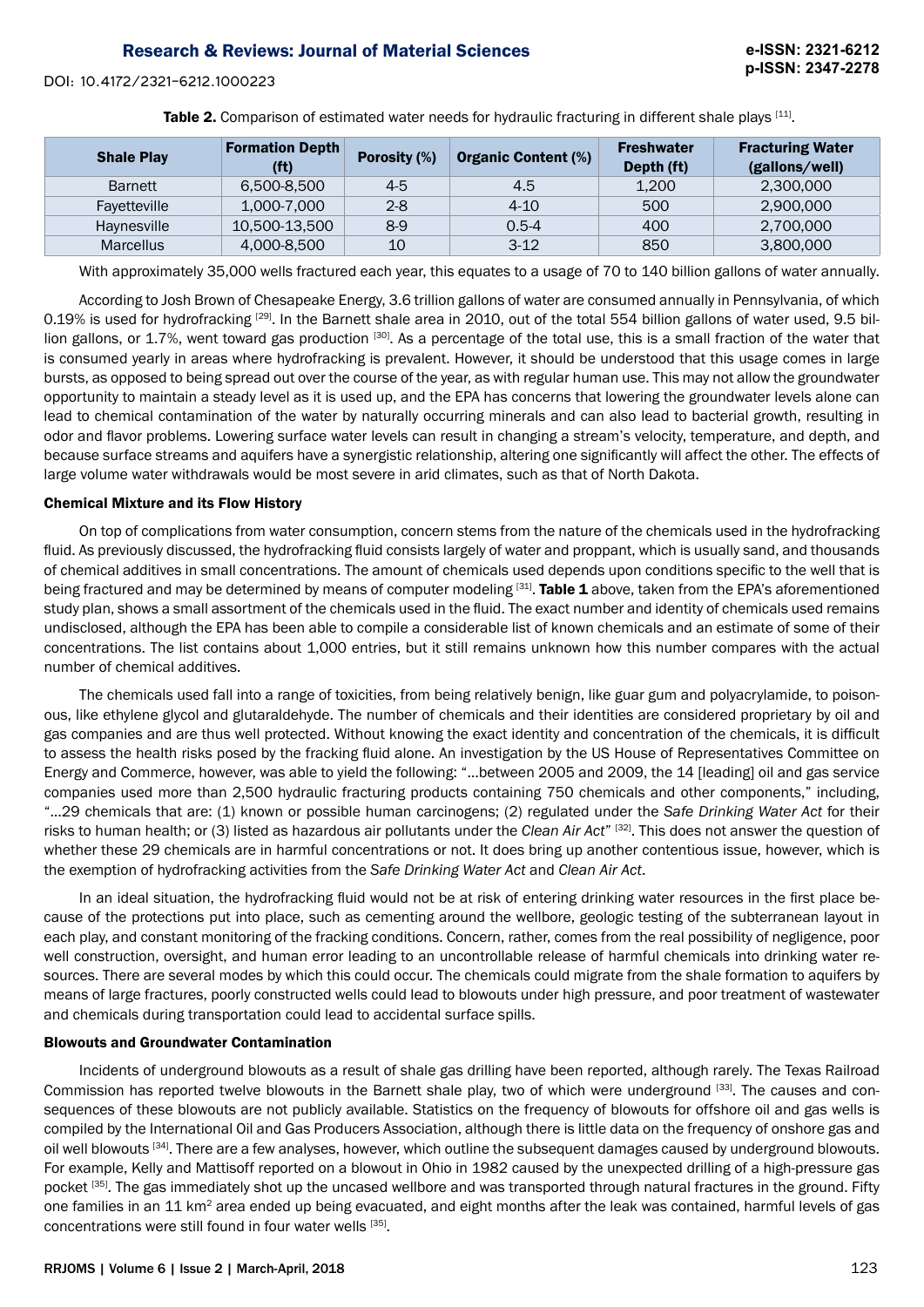DOI: 10.4172/2321-6212.1000223

Table 2. Comparison of estimated water needs for hydraulic fracturing in different shale plays [11].

| <b>Shale Play</b> | <b>Formation Depth</b><br>(ft) | <b>Porosity (%)</b> | <b>Organic Content (%)</b> | <b>Freshwater</b><br>Depth (ft) | <b>Fracturing Water</b><br>(gallons/well) |
|-------------------|--------------------------------|---------------------|----------------------------|---------------------------------|-------------------------------------------|
| <b>Barnett</b>    | 6,500-8,500                    | $4-5$               | 4.5                        | 1,200                           | 2,300,000                                 |
| Favetteville      | 1,000-7,000                    | $2 - 8$             | $4 - 10$                   | 500                             | 2,900,000                                 |
| Haynesville       | 10,500-13,500                  | $8-9$               | $0.5 - 4$                  | 400                             | 2,700,000                                 |
| <b>Marcellus</b>  | 4,000-8,500                    | 10                  | $3-12$                     | 850                             | 3,800,000                                 |

With approximately 35,000 wells fractured each year, this equates to a usage of 70 to 140 billion gallons of water annually.

According to Josh Brown of Chesapeake Energy, 3.6 trillion gallons of water are consumed annually in Pennsylvania, of which 0.19% is used for hydrofracking [29]. In the Barnett shale area in 2010, out of the total 554 billion gallons of water used, 9.5 billion gallons, or 1.7%, went toward gas production [30]. As a percentage of the total use, this is a small fraction of the water that is consumed yearly in areas where hydrofracking is prevalent. However, it should be understood that this usage comes in large bursts, as opposed to being spread out over the course of the year, as with regular human use. This may not allow the groundwater opportunity to maintain a steady level as it is used up, and the EPA has concerns that lowering the groundwater levels alone can lead to chemical contamination of the water by naturally occurring minerals and can also lead to bacterial growth, resulting in odor and flavor problems. Lowering surface water levels can result in changing a stream's velocity, temperature, and depth, and because surface streams and aquifers have a synergistic relationship, altering one significantly will affect the other. The effects of large volume water withdrawals would be most severe in arid climates, such as that of North Dakota.

## Chemical Mixture and its Flow History

On top of complications from water consumption, concern stems from the nature of the chemicals used in the hydrofracking fluid. As previously discussed, the hydrofracking fluid consists largely of water and proppant, which is usually sand, and thousands of chemical additives in small concentrations. The amount of chemicals used depends upon conditions specific to the well that is being fractured and may be determined by means of computer modeling [31]. Table 1 above, taken from the EPA's aforementioned study plan, shows a small assortment of the chemicals used in the fluid. The exact number and identity of chemicals used remains undisclosed, although the EPA has been able to compile a considerable list of known chemicals and an estimate of some of their concentrations. The list contains about 1,000 entries, but it still remains unknown how this number compares with the actual number of chemical additives.

The chemicals used fall into a range of toxicities, from being relatively benign, like guar gum and polyacrylamide, to poisonous, like ethylene glycol and glutaraldehyde. The number of chemicals and their identities are considered proprietary by oil and gas companies and are thus well protected. Without knowing the exact identity and concentration of the chemicals, it is difficult to assess the health risks posed by the fracking fluid alone. An investigation by the US House of Representatives Committee on Energy and Commerce, however, was able to yield the following: "…between 2005 and 2009, the 14 [leading] oil and gas service companies used more than 2,500 hydraulic fracturing products containing 750 chemicals and other components," including, "…29 chemicals that are: (1) known or possible human carcinogens; (2) regulated under the *Safe Drinking Water Act* for their risks to human health; or (3) listed as hazardous air pollutants under the *Clean Air Act*" [32]. This does not answer the question of whether these 29 chemicals are in harmful concentrations or not. It does bring up another contentious issue, however, which is the exemption of hydrofracking activities from the *Safe Drinking Water Act* and *Clean Air Act*.

In an ideal situation, the hydrofracking fluid would not be at risk of entering drinking water resources in the first place because of the protections put into place, such as cementing around the wellbore, geologic testing of the subterranean layout in each play, and constant monitoring of the fracking conditions. Concern, rather, comes from the real possibility of negligence, poor well construction, oversight, and human error leading to an uncontrollable release of harmful chemicals into drinking water resources. There are several modes by which this could occur. The chemicals could migrate from the shale formation to aquifers by means of large fractures, poorly constructed wells could lead to blowouts under high pressure, and poor treatment of wastewater and chemicals during transportation could lead to accidental surface spills.

## Blowouts and Groundwater Contamination

Incidents of underground blowouts as a result of shale gas drilling have been reported, although rarely. The Texas Railroad Commission has reported twelve blowouts in the Barnett shale play, two of which were underground [33]. The causes and consequences of these blowouts are not publicly available. Statistics on the frequency of blowouts for offshore oil and gas wells is compiled by the International Oil and Gas Producers Association, although there is little data on the frequency of onshore gas and oil well blowouts [34]. There are a few analyses, however, which outline the subsequent damages caused by underground blowouts. For example, Kelly and Mattisoff reported on a blowout in Ohio in 1982 caused by the unexpected drilling of a high-pressure gas pocket [35]. The gas immediately shot up the uncased wellbore and was transported through natural fractures in the ground. Fifty one families in an 11 km2 area ended up being evacuated, and eight months after the leak was contained, harmful levels of gas concentrations were still found in four water wells [35].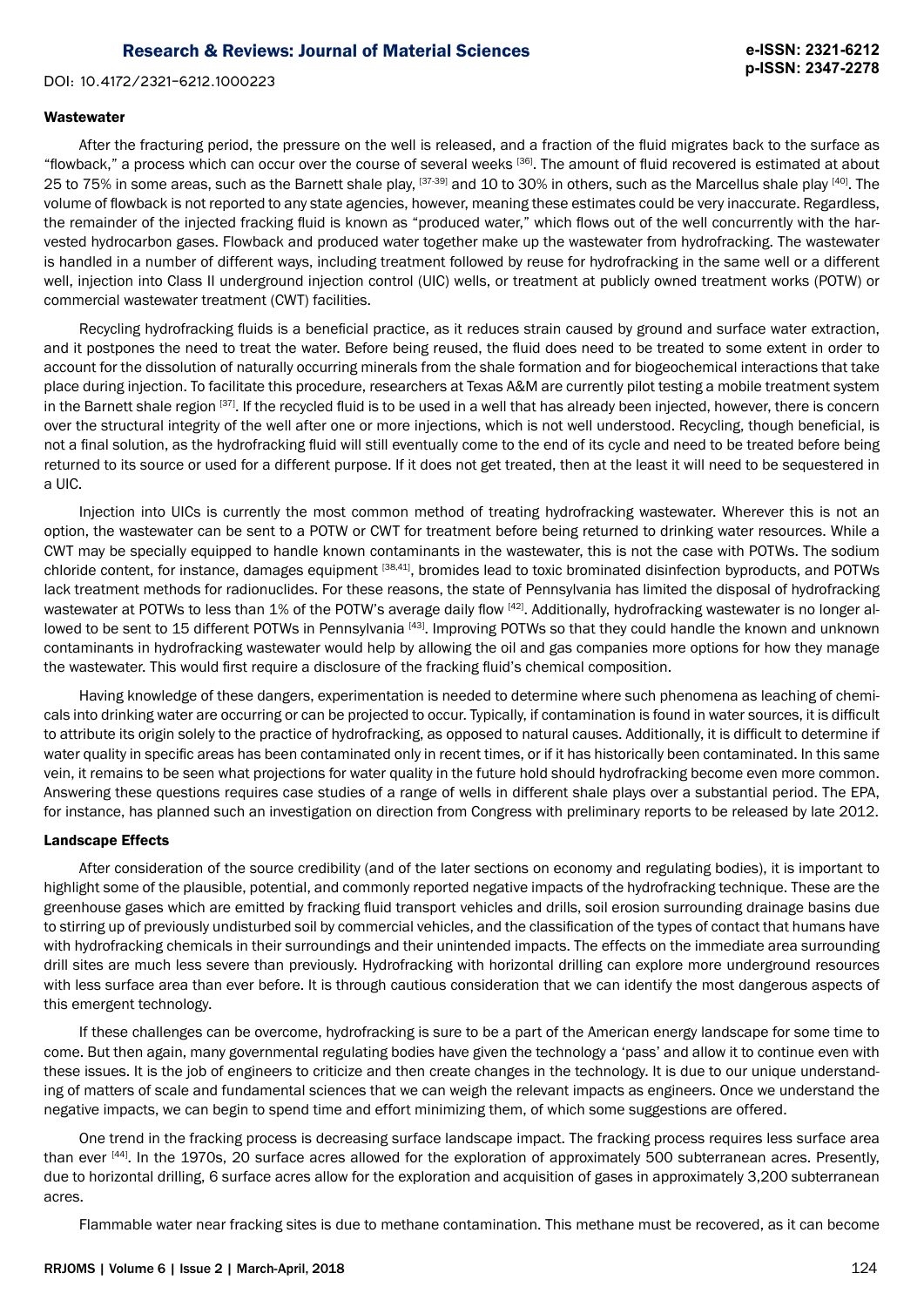DOI: 10.4172/2321-6212.1000223

#### **Wastewater**

After the fracturing period, the pressure on the well is released, and a fraction of the fluid migrates back to the surface as "flowback," a process which can occur over the course of several weeks [36]. The amount of fluid recovered is estimated at about 25 to 75% in some areas, such as the Barnett shale play, [37-39] and 10 to 30% in others, such as the Marcellus shale play [40]. The volume of flowback is not reported to any state agencies, however, meaning these estimates could be very inaccurate. Regardless, the remainder of the injected fracking fluid is known as "produced water," which flows out of the well concurrently with the harvested hydrocarbon gases. Flowback and produced water together make up the wastewater from hydrofracking. The wastewater is handled in a number of different ways, including treatment followed by reuse for hydrofracking in the same well or a different well, injection into Class II underground injection control (UIC) wells, or treatment at publicly owned treatment works (POTW) or commercial wastewater treatment (CWT) facilities.

Recycling hydrofracking fluids is a beneficial practice, as it reduces strain caused by ground and surface water extraction, and it postpones the need to treat the water. Before being reused, the fluid does need to be treated to some extent in order to account for the dissolution of naturally occurring minerals from the shale formation and for biogeochemical interactions that take place during injection. To facilitate this procedure, researchers at Texas A&M are currently pilot testing a mobile treatment system in the Barnett shale region [37]. If the recycled fluid is to be used in a well that has already been injected, however, there is concern over the structural integrity of the well after one or more injections, which is not well understood. Recycling, though beneficial, is not a final solution, as the hydrofracking fluid will still eventually come to the end of its cycle and need to be treated before being returned to its source or used for a different purpose. If it does not get treated, then at the least it will need to be sequestered in a UIC.

Injection into UICs is currently the most common method of treating hydrofracking wastewater. Wherever this is not an option, the wastewater can be sent to a POTW or CWT for treatment before being returned to drinking water resources. While a CWT may be specially equipped to handle known contaminants in the wastewater, this is not the case with POTWs. The sodium chloride content, for instance, damages equipment [38,41], bromides lead to toxic brominated disinfection byproducts, and POTWs lack treatment methods for radionuclides. For these reasons, the state of Pennsylvania has limited the disposal of hydrofracking wastewater at POTWs to less than 1% of the POTW's average daily flow [42]. Additionally, hydrofracking wastewater is no longer allowed to be sent to 15 different POTWs in Pennsylvania [43]. Improving POTWs so that they could handle the known and unknown contaminants in hydrofracking wastewater would help by allowing the oil and gas companies more options for how they manage the wastewater. This would first require a disclosure of the fracking fluid's chemical composition.

Having knowledge of these dangers, experimentation is needed to determine where such phenomena as leaching of chemicals into drinking water are occurring or can be projected to occur. Typically, if contamination is found in water sources, it is difficult to attribute its origin solely to the practice of hydrofracking, as opposed to natural causes. Additionally, it is difficult to determine if water quality in specific areas has been contaminated only in recent times, or if it has historically been contaminated. In this same vein, it remains to be seen what projections for water quality in the future hold should hydrofracking become even more common. Answering these questions requires case studies of a range of wells in different shale plays over a substantial period. The EPA, for instance, has planned such an investigation on direction from Congress with preliminary reports to be released by late 2012.

## Landscape Effects

After consideration of the source credibility (and of the later sections on economy and regulating bodies), it is important to highlight some of the plausible, potential, and commonly reported negative impacts of the hydrofracking technique. These are the greenhouse gases which are emitted by fracking fluid transport vehicles and drills, soil erosion surrounding drainage basins due to stirring up of previously undisturbed soil by commercial vehicles, and the classification of the types of contact that humans have with hydrofracking chemicals in their surroundings and their unintended impacts. The effects on the immediate area surrounding drill sites are much less severe than previously. Hydrofracking with horizontal drilling can explore more underground resources with less surface area than ever before. It is through cautious consideration that we can identify the most dangerous aspects of this emergent technology.

If these challenges can be overcome, hydrofracking is sure to be a part of the American energy landscape for some time to come. But then again, many governmental regulating bodies have given the technology a 'pass' and allow it to continue even with these issues. It is the job of engineers to criticize and then create changes in the technology. It is due to our unique understanding of matters of scale and fundamental sciences that we can weigh the relevant impacts as engineers. Once we understand the negative impacts, we can begin to spend time and effort minimizing them, of which some suggestions are offered.

One trend in the fracking process is decreasing surface landscape impact. The fracking process requires less surface area than ever [44]. In the 1970s, 20 surface acres allowed for the exploration of approximately 500 subterranean acres. Presently, due to horizontal drilling, 6 surface acres allow for the exploration and acquisition of gases in approximately 3,200 subterranean acres.

Flammable water near fracking sites is due to methane contamination. This methane must be recovered, as it can become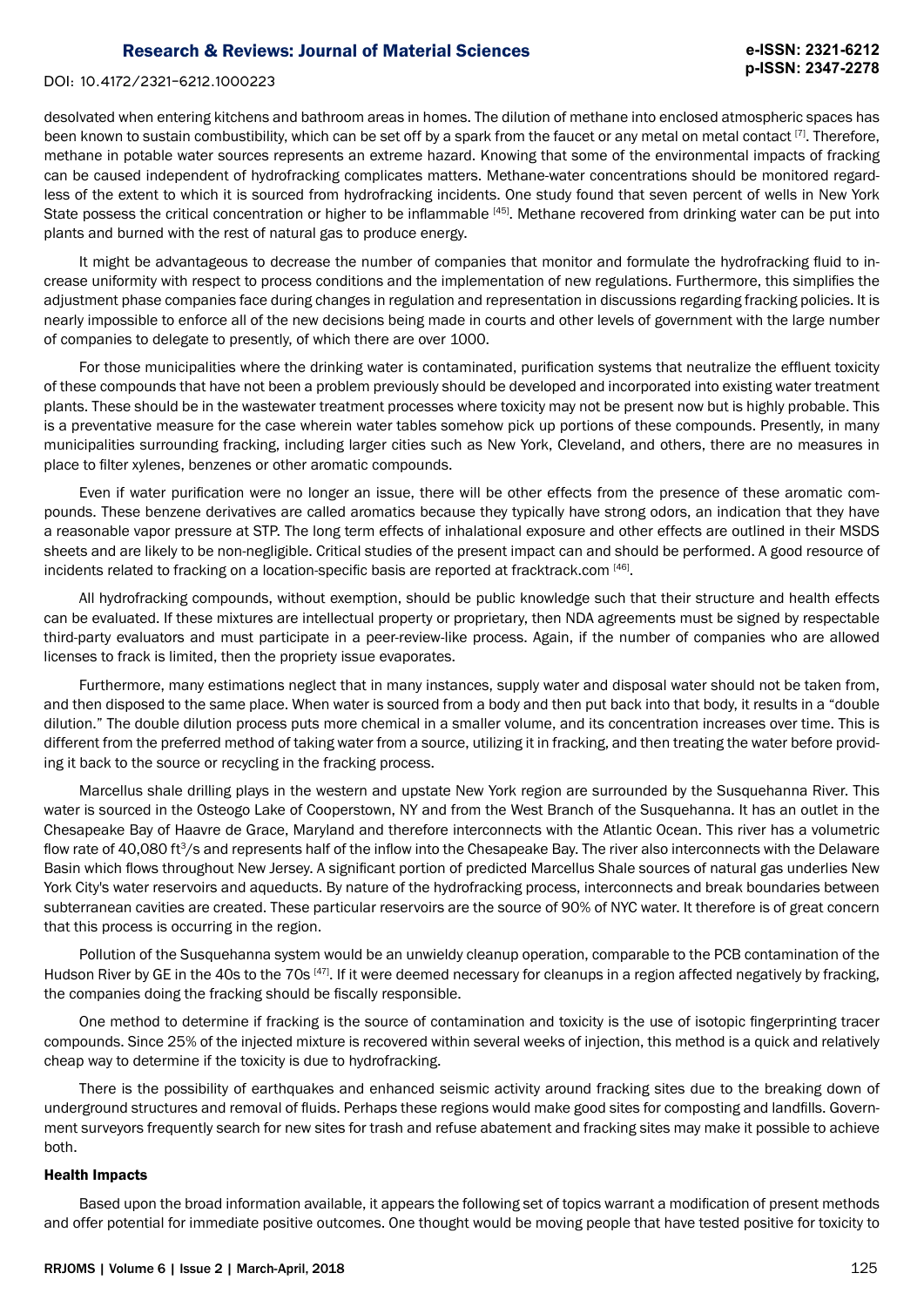#### DOI: 10.4172/2321-6212.1000223

desolvated when entering kitchens and bathroom areas in homes. The dilution of methane into enclosed atmospheric spaces has been known to sustain combustibility, which can be set off by a spark from the faucet or any metal on metal contact [7]. Therefore, methane in potable water sources represents an extreme hazard. Knowing that some of the environmental impacts of fracking can be caused independent of hydrofracking complicates matters. Methane-water concentrations should be monitored regardless of the extent to which it is sourced from hydrofracking incidents. One study found that seven percent of wells in New York State possess the critical concentration or higher to be inflammable [45]. Methane recovered from drinking water can be put into plants and burned with the rest of natural gas to produce energy.

It might be advantageous to decrease the number of companies that monitor and formulate the hydrofracking fluid to increase uniformity with respect to process conditions and the implementation of new regulations. Furthermore, this simplifies the adjustment phase companies face during changes in regulation and representation in discussions regarding fracking policies. It is nearly impossible to enforce all of the new decisions being made in courts and other levels of government with the large number of companies to delegate to presently, of which there are over 1000.

For those municipalities where the drinking water is contaminated, purification systems that neutralize the effluent toxicity of these compounds that have not been a problem previously should be developed and incorporated into existing water treatment plants. These should be in the wastewater treatment processes where toxicity may not be present now but is highly probable. This is a preventative measure for the case wherein water tables somehow pick up portions of these compounds. Presently, in many municipalities surrounding fracking, including larger cities such as New York, Cleveland, and others, there are no measures in place to filter xylenes, benzenes or other aromatic compounds.

Even if water purification were no longer an issue, there will be other effects from the presence of these aromatic compounds. These benzene derivatives are called aromatics because they typically have strong odors, an indication that they have a reasonable vapor pressure at STP. The long term effects of inhalational exposure and other effects are outlined in their MSDS sheets and are likely to be non-negligible. Critical studies of the present impact can and should be performed. A good resource of incidents related to fracking on a location-specific basis are reported at fracktrack.com [46].

All hydrofracking compounds, without exemption, should be public knowledge such that their structure and health effects can be evaluated. If these mixtures are intellectual property or proprietary, then NDA agreements must be signed by respectable third-party evaluators and must participate in a peer-review-like process. Again, if the number of companies who are allowed licenses to frack is limited, then the propriety issue evaporates.

Furthermore, many estimations neglect that in many instances, supply water and disposal water should not be taken from, and then disposed to the same place. When water is sourced from a body and then put back into that body, it results in a "double dilution." The double dilution process puts more chemical in a smaller volume, and its concentration increases over time. This is different from the preferred method of taking water from a source, utilizing it in fracking, and then treating the water before providing it back to the source or recycling in the fracking process.

Marcellus shale drilling plays in the western and upstate New York region are surrounded by the Susquehanna River. This water is sourced in the Osteogo Lake of Cooperstown, NY and from the West Branch of the Susquehanna. It has an outlet in the Chesapeake Bay of Haavre de Grace, Maryland and therefore interconnects with the Atlantic Ocean. This river has a volumetric flow rate of 40,080 ft $3/$ s and represents half of the inflow into the Chesapeake Bay. The river also interconnects with the Delaware Basin which flows throughout New Jersey. A significant portion of predicted Marcellus Shale sources of natural gas underlies New York City's water reservoirs and aqueducts. By nature of the hydrofracking process, interconnects and break boundaries between subterranean cavities are created. These particular reservoirs are the source of 90% of NYC water. It therefore is of great concern that this process is occurring in the region.

Pollution of the Susquehanna system would be an unwieldy cleanup operation, comparable to the PCB contamination of the Hudson River by GE in the 40s to the 70s <sup>[47]</sup>. If it were deemed necessary for cleanups in a region affected negatively by fracking, the companies doing the fracking should be fiscally responsible.

One method to determine if fracking is the source of contamination and toxicity is the use of isotopic fingerprinting tracer compounds. Since 25% of the injected mixture is recovered within several weeks of injection, this method is a quick and relatively cheap way to determine if the toxicity is due to hydrofracking.

There is the possibility of earthquakes and enhanced seismic activity around fracking sites due to the breaking down of underground structures and removal of fluids. Perhaps these regions would make good sites for composting and landfills. Government surveyors frequently search for new sites for trash and refuse abatement and fracking sites may make it possible to achieve both.

#### Health Impacts

Based upon the broad information available, it appears the following set of topics warrant a modification of present methods and offer potential for immediate positive outcomes. One thought would be moving people that have tested positive for toxicity to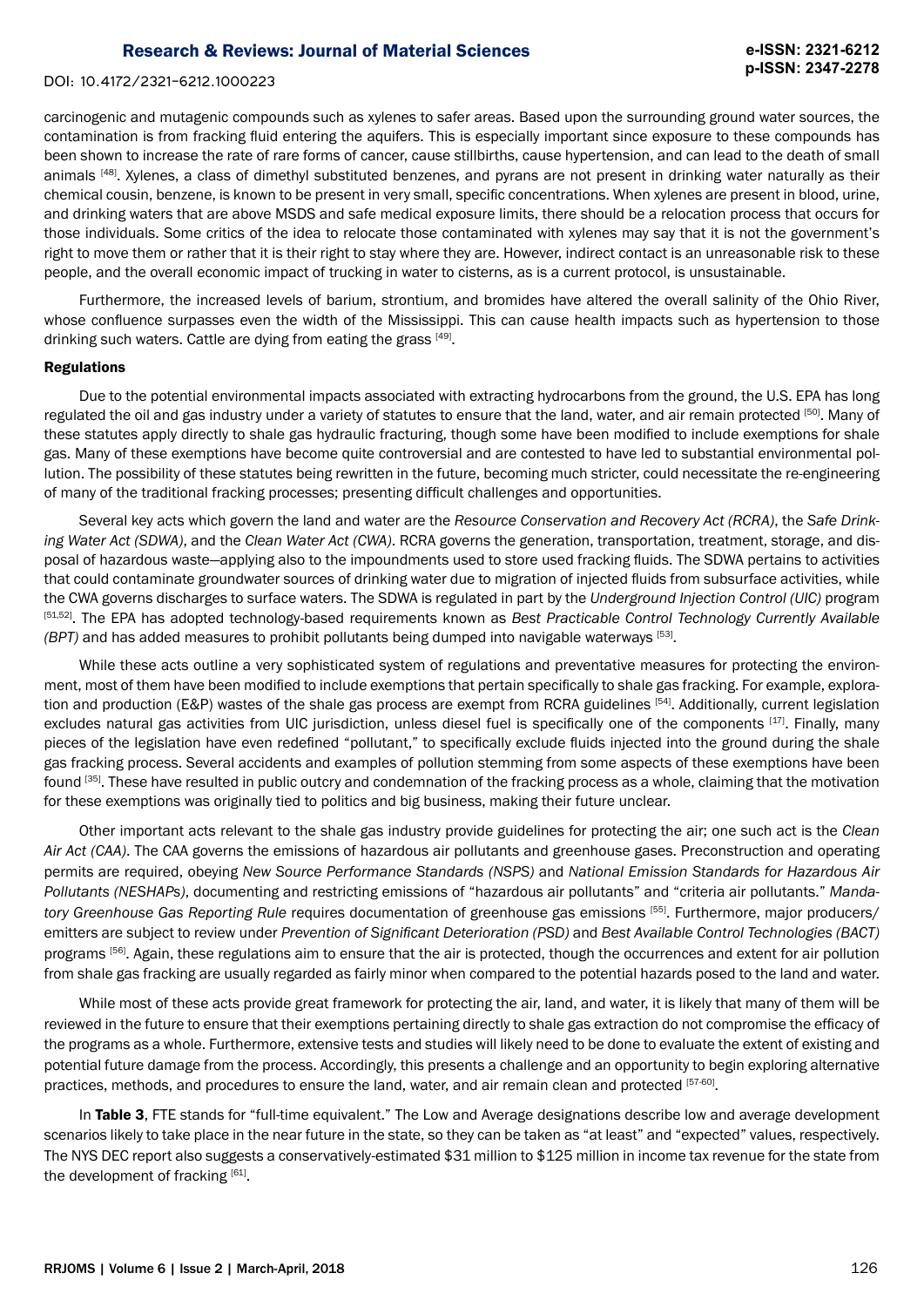#### DOI: 10.4172/2321-6212.1000223

carcinogenic and mutagenic compounds such as xylenes to safer areas. Based upon the surrounding ground water sources, the contamination is from fracking fluid entering the aquifers. This is especially important since exposure to these compounds has been shown to increase the rate of rare forms of cancer, cause stillbirths, cause hypertension, and can lead to the death of small animals [48]. Xylenes, a class of dimethyl substituted benzenes, and pyrans are not present in drinking water naturally as their chemical cousin, benzene, is known to be present in very small, specific concentrations. When xylenes are present in blood, urine, and drinking waters that are above MSDS and safe medical exposure limits, there should be a relocation process that occurs for those individuals. Some critics of the idea to relocate those contaminated with xylenes may say that it is not the government's right to move them or rather that it is their right to stay where they are. However, indirect contact is an unreasonable risk to these people, and the overall economic impact of trucking in water to cisterns, as is a current protocol, is unsustainable.

Furthermore, the increased levels of barium, strontium, and bromides have altered the overall salinity of the Ohio River, whose confluence surpasses even the width of the Mississippi. This can cause health impacts such as hypertension to those drinking such waters. Cattle are dying from eating the grass [49].

#### **Regulations**

Due to the potential environmental impacts associated with extracting hydrocarbons from the ground, the U.S. EPA has long regulated the oil and gas industry under a variety of statutes to ensure that the land, water, and air remain protected [50]. Many of these statutes apply directly to shale gas hydraulic fracturing, though some have been modified to include exemptions for shale gas. Many of these exemptions have become quite controversial and are contested to have led to substantial environmental pollution. The possibility of these statutes being rewritten in the future, becoming much stricter, could necessitate the re-engineering of many of the traditional fracking processes; presenting difficult challenges and opportunities.

Several key acts which govern the land and water are the *Resource Conservation and Recovery Act (RCRA)*, the *Safe Drinking Water Act (SDWA)*, and the *Clean Water Act (CWA)*. RCRA governs the generation, transportation, treatment, storage, and disposal of hazardous waste—applying also to the impoundments used to store used fracking fluids. The SDWA pertains to activities that could contaminate groundwater sources of drinking water due to migration of injected fluids from subsurface activities, while the CWA governs discharges to surface waters. The SDWA is regulated in part by the *Underground Injection Control (UIC)* program [51,52]. The EPA has adopted technology-based requirements known as *Best Practicable Control Technology Currently Available (BPT)* and has added measures to prohibit pollutants being dumped into navigable waterways [53].

While these acts outline a very sophisticated system of regulations and preventative measures for protecting the environment, most of them have been modified to include exemptions that pertain specifically to shale gas fracking. For example, exploration and production (E&P) wastes of the shale gas process are exempt from RCRA guidelines [54]. Additionally, current legislation excludes natural gas activities from UIC jurisdiction, unless diesel fuel is specifically one of the components [17]. Finally, many pieces of the legislation have even redefined "pollutant," to specifically exclude fluids injected into the ground during the shale gas fracking process. Several accidents and examples of pollution stemming from some aspects of these exemptions have been found [35]. These have resulted in public outcry and condemnation of the fracking process as a whole, claiming that the motivation for these exemptions was originally tied to politics and big business, making their future unclear.

Other important acts relevant to the shale gas industry provide guidelines for protecting the air; one such act is the *Clean Air Act (CAA)*. The CAA governs the emissions of hazardous air pollutants and greenhouse gases. Preconstruction and operating permits are required, obeying *New Source Performance Standards (NSPS)* and *National Emission Standards for Hazardous Air Pollutants (NESHAPs)*, documenting and restricting emissions of "hazardous air pollutants" and "criteria air pollutants." *Mandatory Greenhouse Gas Reporting Rule* requires documentation of greenhouse gas emissions [55]. Furthermore, major producers/ emitters are subject to review under *Prevention of Significant Deterioration (PSD)* and *Best Available Control Technologies (BACT)* programs [56]. Again, these regulations aim to ensure that the air is protected, though the occurrences and extent for air pollution from shale gas fracking are usually regarded as fairly minor when compared to the potential hazards posed to the land and water.

While most of these acts provide great framework for protecting the air, land, and water, it is likely that many of them will be reviewed in the future to ensure that their exemptions pertaining directly to shale gas extraction do not compromise the efficacy of the programs as a whole. Furthermore, extensive tests and studies will likely need to be done to evaluate the extent of existing and potential future damage from the process. Accordingly, this presents a challenge and an opportunity to begin exploring alternative practices, methods, and procedures to ensure the land, water, and air remain clean and protected [57-60].

In Table 3, FTE stands for "full-time equivalent." The Low and Average designations describe low and average development scenarios likely to take place in the near future in the state, so they can be taken as "at least" and "expected" values, respectively. The NYS DEC report also suggests a conservatively-estimated \$31 million to \$125 million in income tax revenue for the state from the development of fracking  $[61]$ .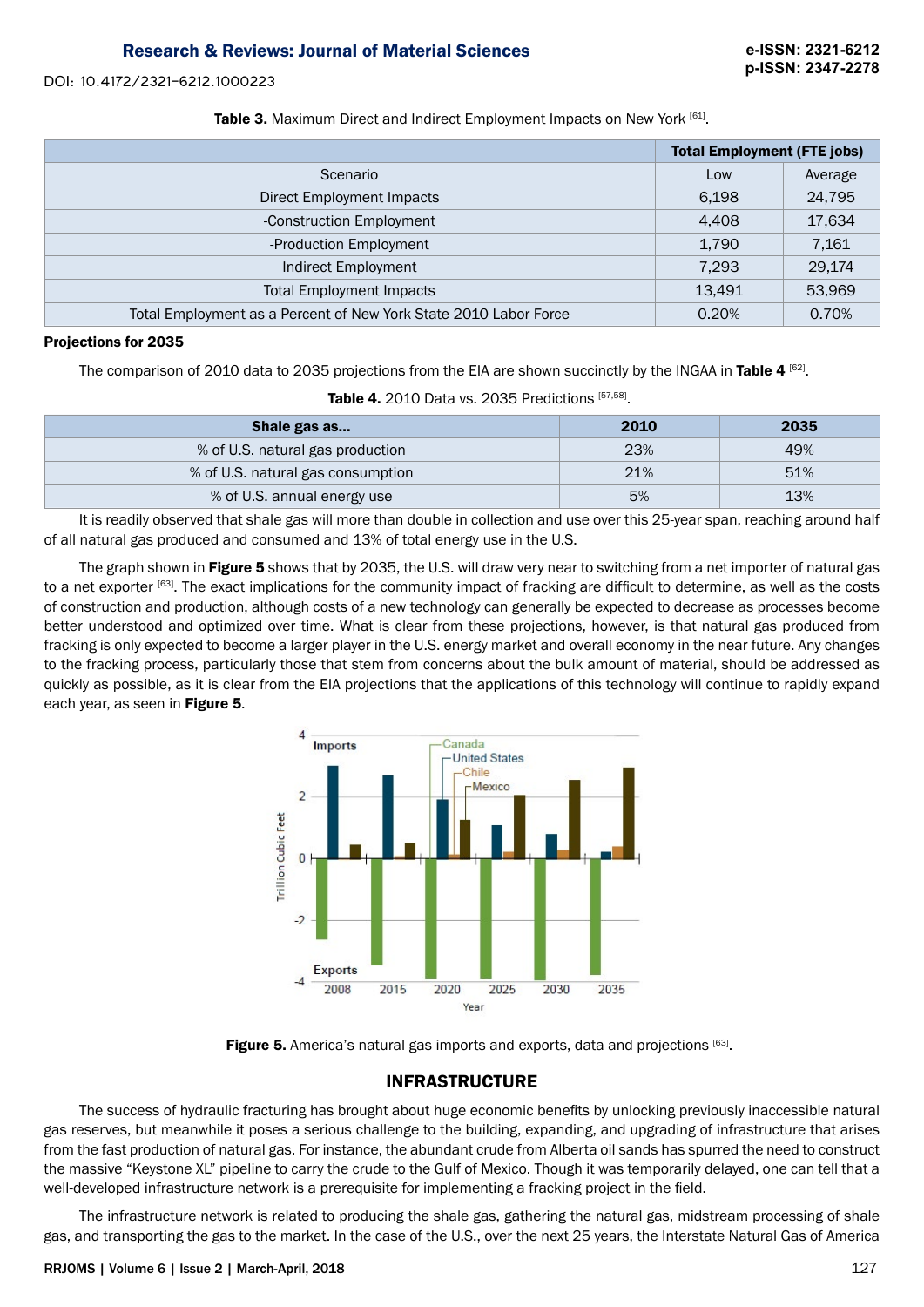DOI: 10.4172/2321-6212.1000223

Table 3. Maximum Direct and Indirect Employment Impacts on New York [61].

|                                                                  | <b>Total Employment (FTE jobs)</b> |         |
|------------------------------------------------------------------|------------------------------------|---------|
| Scenario                                                         | Low                                | Average |
| Direct Employment Impacts                                        | 6,198                              | 24,795  |
| -Construction Employment                                         | 4,408                              | 17,634  |
| -Production Employment                                           | 1,790                              | 7,161   |
| Indirect Employment                                              | 7,293                              | 29,174  |
| <b>Total Employment Impacts</b>                                  | 13.491                             | 53,969  |
| Total Employment as a Percent of New York State 2010 Labor Force | 0.20%                              | 0.70%   |

## Projections for 2035

The comparison of 2010 data to 2035 projections from the EIA are shown succinctly by the INGAA in Table 4  $^{[62]}$ .

| Shale gas as                      | 2010 | 2035 |
|-----------------------------------|------|------|
| % of U.S. natural gas production  | 23%  | 49%  |
| % of U.S. natural gas consumption | 21%  | 51%  |
| % of U.S. annual energy use       | 5%   | 13%  |

Table 4. 2010 Data vs. 2035 Predictions [57,58].

It is readily observed that shale gas will more than double in collection and use over this 25-year span, reaching around half of all natural gas produced and consumed and 13% of total energy use in the U.S.

The graph shown in Figure 5 shows that by 2035, the U.S. will draw very near to switching from a net importer of natural gas to a net exporter [63]. The exact implications for the community impact of fracking are difficult to determine, as well as the costs of construction and production, although costs of a new technology can generally be expected to decrease as processes become better understood and optimized over time. What is clear from these projections, however, is that natural gas produced from fracking is only expected to become a larger player in the U.S. energy market and overall economy in the near future. Any changes to the fracking process, particularly those that stem from concerns about the bulk amount of material, should be addressed as quickly as possible, as it is clear from the EIA projections that the applications of this technology will continue to rapidly expand each year, as seen in Figure 5.



**Figure 5.** America's natural gas imports and exports, data and projections  $[63]$ .

# INFRASTRUCTURE

The success of hydraulic fracturing has brought about huge economic benefits by unlocking previously inaccessible natural gas reserves, but meanwhile it poses a serious challenge to the building, expanding, and upgrading of infrastructure that arises from the fast production of natural gas. For instance, the abundant crude from Alberta oil sands has spurred the need to construct the massive "Keystone XL" pipeline to carry the crude to the Gulf of Mexico. Though it was temporarily delayed, one can tell that a well-developed infrastructure network is a prerequisite for implementing a fracking project in the field.

The infrastructure network is related to producing the shale gas, gathering the natural gas, midstream processing of shale gas, and transporting the gas to the market. In the case of the U.S., over the next 25 years, the Interstate Natural Gas of America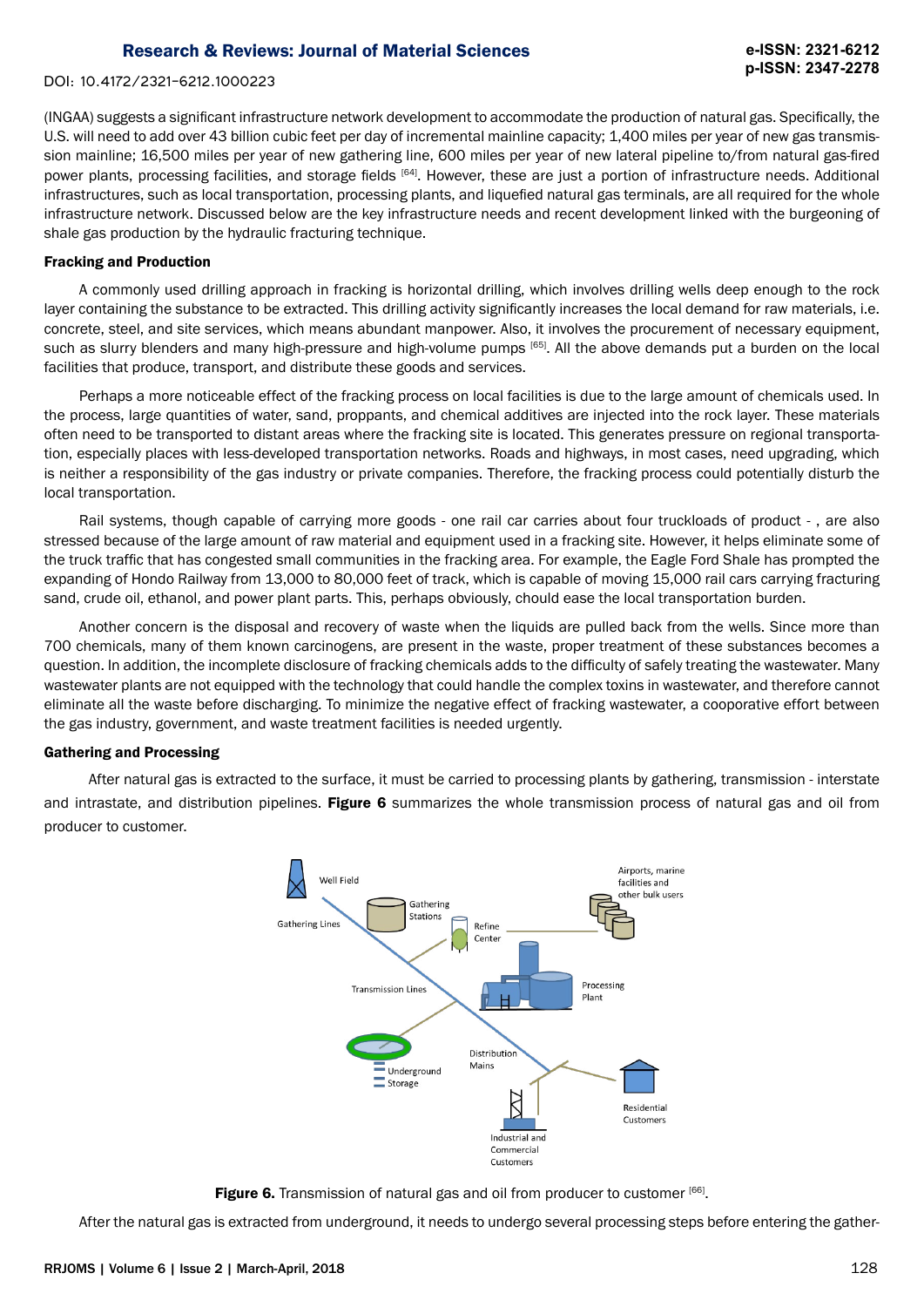DOI: 10.4172/2321-6212.1000223

(INGAA) suggests a significant infrastructure network development to accommodate the production of natural gas. Specifically, the U.S. will need to add over 43 billion cubic feet per day of incremental mainline capacity; 1,400 miles per year of new gas transmission mainline; 16,500 miles per year of new gathering line, 600 miles per year of new lateral pipeline to/from natural gas-fired power plants, processing facilities, and storage fields [64]. However, these are just a portion of infrastructure needs. Additional infrastructures, such as local transportation, processing plants, and liquefied natural gas terminals, are all required for the whole infrastructure network. Discussed below are the key infrastructure needs and recent development linked with the burgeoning of shale gas production by the hydraulic fracturing technique.

## Fracking and Production

A commonly used drilling approach in fracking is horizontal drilling, which involves drilling wells deep enough to the rock layer containing the substance to be extracted. This drilling activity significantly increases the local demand for raw materials, i.e. concrete, steel, and site services, which means abundant manpower. Also, it involves the procurement of necessary equipment, such as slurry blenders and many high-pressure and high-volume pumps [65]. All the above demands put a burden on the local facilities that produce, transport, and distribute these goods and services.

Perhaps a more noticeable effect of the fracking process on local facilities is due to the large amount of chemicals used. In the process, large quantities of water, sand, proppants, and chemical additives are injected into the rock layer. These materials often need to be transported to distant areas where the fracking site is located. This generates pressure on regional transportation, especially places with less-developed transportation networks. Roads and highways, in most cases, need upgrading, which is neither a responsibility of the gas industry or private companies. Therefore, the fracking process could potentially disturb the local transportation.

Rail systems, though capable of carrying more goods - one rail car carries about four truckloads of product - , are also stressed because of the large amount of raw material and equipment used in a fracking site. However, it helps eliminate some of the truck traffic that has congested small communities in the fracking area. For example, the Eagle Ford Shale has prompted the expanding of Hondo Railway from 13,000 to 80,000 feet of track, which is capable of moving 15,000 rail cars carrying fracturing sand, crude oil, ethanol, and power plant parts. This, perhaps obviously, chould ease the local transportation burden.

Another concern is the disposal and recovery of waste when the liquids are pulled back from the wells. Since more than 700 chemicals, many of them known carcinogens, are present in the waste, proper treatment of these substances becomes a question. In addition, the incomplete disclosure of fracking chemicals adds to the difficulty of safely treating the wastewater. Many wastewater plants are not equipped with the technology that could handle the complex toxins in wastewater, and therefore cannot eliminate all the waste before discharging. To minimize the negative effect of fracking wastewater, a cooporative effort between the gas industry, government, and waste treatment facilities is needed urgently.

#### Gathering and Processing

After natural gas is extracted to the surface, it must be carried to processing plants by gathering, transmission - interstate and intrastate, and distribution pipelines. Figure 6 summarizes the whole transmission process of natural gas and oil from producer to customer.



Figure 6. Transmission of natural gas and oil from producer to customer [66].

After the natural gas is extracted from underground, it needs to undergo several processing steps before entering the gather-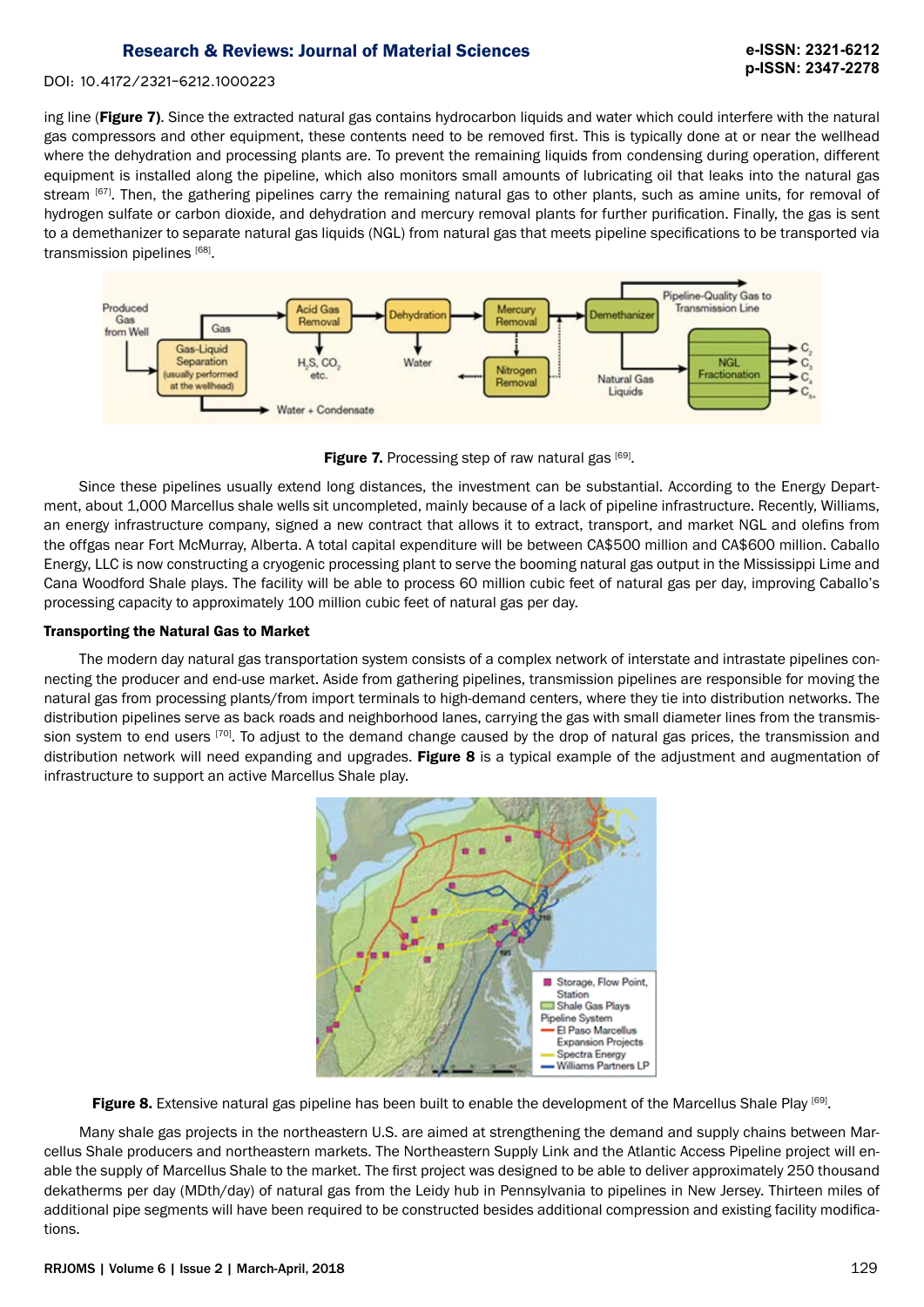## **e-ISSN: 2321-6212 p-ISSN: 2347-2278**

## DOI: 10.4172/2321-6212.1000223

ing line (Figure 7). Since the extracted natural gas contains hydrocarbon liquids and water which could interfere with the natural gas compressors and other equipment, these contents need to be removed first. This is typically done at or near the wellhead where the dehydration and processing plants are. To prevent the remaining liquids from condensing during operation, different equipment is installed along the pipeline, which also monitors small amounts of lubricating oil that leaks into the natural gas stream [67]. Then, the gathering pipelines carry the remaining natural gas to other plants, such as amine units, for removal of hydrogen sulfate or carbon dioxide, and dehydration and mercury removal plants for further purification. Finally, the gas is sent to a demethanizer to separate natural gas liquids (NGL) from natural gas that meets pipeline specifications to be transported via transmission pipelines [68].



**Figure 7.** Processing step of raw natural gas  $[69]$ .

Since these pipelines usually extend long distances, the investment can be substantial. According to the Energy Department, about 1,000 Marcellus shale wells sit uncompleted, mainly because of a lack of pipeline infrastructure. Recently, Williams, an energy infrastructure company, signed a new contract that allows it to extract, transport, and market NGL and olefins from the offgas near Fort McMurray, Alberta. A total capital expenditure will be between CA\$500 million and CA\$600 million. Caballo Energy, LLC is now constructing a cryogenic processing plant to serve the booming natural gas output in the Mississippi Lime and Cana Woodford Shale plays. The facility will be able to process 60 million cubic feet of natural gas per day, improving Caballo's processing capacity to approximately 100 million cubic feet of natural gas per day.

## Transporting the Natural Gas to Market

The modern day natural gas transportation system consists of a complex network of interstate and intrastate pipelines connecting the producer and end-use market. Aside from gathering pipelines, transmission pipelines are responsible for moving the natural gas from processing plants/from import terminals to high-demand centers, where they tie into distribution networks. The distribution pipelines serve as back roads and neighborhood lanes, carrying the gas with small diameter lines from the transmission system to end users [70]. To adjust to the demand change caused by the drop of natural gas prices, the transmission and distribution network will need expanding and upgrades. Figure 8 is a typical example of the adjustment and augmentation of infrastructure to support an active Marcellus Shale play.



Figure 8. Extensive natural gas pipeline has been built to enable the development of the Marcellus Shale Play [69].

Many shale gas projects in the northeastern U.S. are aimed at strengthening the demand and supply chains between Marcellus Shale producers and northeastern markets. The Northeastern Supply Link and the Atlantic Access Pipeline project will enable the supply of Marcellus Shale to the market. The first project was designed to be able to deliver approximately 250 thousand dekatherms per day (MDth/day) of natural gas from the Leidy hub in Pennsylvania to pipelines in New Jersey. Thirteen miles of additional pipe segments will have been required to be constructed besides additional compression and existing facility modifications.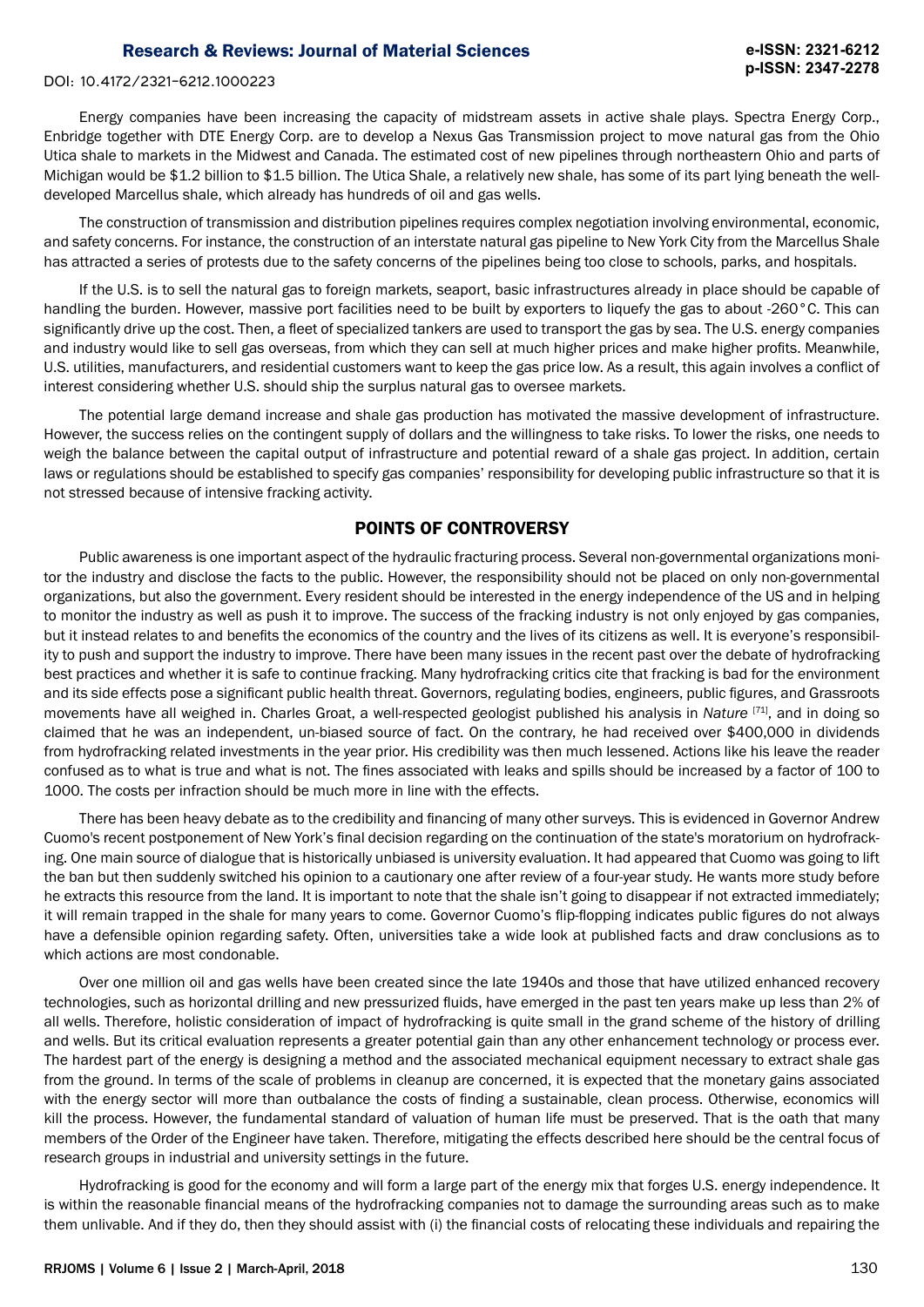#### DOI: 10.4172/2321-6212.1000223

Energy companies have been increasing the capacity of midstream assets in active shale plays. Spectra Energy Corp., Enbridge together with DTE Energy Corp. are to develop a Nexus Gas Transmission project to move natural gas from the Ohio Utica shale to markets in the Midwest and Canada. The estimated cost of new pipelines through northeastern Ohio and parts of Michigan would be \$1.2 billion to \$1.5 billion. The Utica Shale, a relatively new shale, has some of its part lying beneath the welldeveloped Marcellus shale, which already has hundreds of oil and gas wells.

The construction of transmission and distribution pipelines requires complex negotiation involving environmental, economic, and safety concerns. For instance, the construction of an interstate natural gas pipeline to New York City from the Marcellus Shale has attracted a series of protests due to the safety concerns of the pipelines being too close to schools, parks, and hospitals.

If the U.S. is to sell the natural gas to foreign markets, seaport, basic infrastructures already in place should be capable of handling the burden. However, massive port facilities need to be built by exporters to liquefy the gas to about -260°C. This can significantly drive up the cost. Then, a fleet of specialized tankers are used to transport the gas by sea. The U.S. energy companies and industry would like to sell gas overseas, from which they can sell at much higher prices and make higher profits. Meanwhile, U.S. utilities, manufacturers, and residential customers want to keep the gas price low. As a result, this again involves a conflict of interest considering whether U.S. should ship the surplus natural gas to oversee markets.

The potential large demand increase and shale gas production has motivated the massive development of infrastructure. However, the success relies on the contingent supply of dollars and the willingness to take risks. To lower the risks, one needs to weigh the balance between the capital output of infrastructure and potential reward of a shale gas project. In addition, certain laws or regulations should be established to specify gas companies' responsibility for developing public infrastructure so that it is not stressed because of intensive fracking activity.

## POINTS OF CONTROVERSY

Public awareness is one important aspect of the hydraulic fracturing process. Several non-governmental organizations monitor the industry and disclose the facts to the public. However, the responsibility should not be placed on only non-governmental organizations, but also the government. Every resident should be interested in the energy independence of the US and in helping to monitor the industry as well as push it to improve. The success of the fracking industry is not only enjoyed by gas companies, but it instead relates to and benefits the economics of the country and the lives of its citizens as well. It is everyone's responsibility to push and support the industry to improve. There have been many issues in the recent past over the debate of hydrofracking best practices and whether it is safe to continue fracking. Many hydrofracking critics cite that fracking is bad for the environment and its side effects pose a significant public health threat. Governors, regulating bodies, engineers, public figures, and Grassroots movements have all weighed in. Charles Groat, a well-respected geologist published his analysis in *Nature* [71], and in doing so claimed that he was an independent, un-biased source of fact. On the contrary, he had received over \$400,000 in dividends from hydrofracking related investments in the year prior. His credibility was then much lessened. Actions like his leave the reader confused as to what is true and what is not. The fines associated with leaks and spills should be increased by a factor of 100 to 1000. The costs per infraction should be much more in line with the effects.

There has been heavy debate as to the credibility and financing of many other surveys. This is evidenced in Governor Andrew Cuomo's recent postponement of New York's final decision regarding on the continuation of the state's moratorium on hydrofracking. One main source of dialogue that is historically unbiased is university evaluation. It had appeared that Cuomo was going to lift the ban but then suddenly switched his opinion to a cautionary one after review of a four-year study. He wants more study before he extracts this resource from the land. It is important to note that the shale isn't going to disappear if not extracted immediately; it will remain trapped in the shale for many years to come. Governor Cuomo's flip-flopping indicates public figures do not always have a defensible opinion regarding safety. Often, universities take a wide look at published facts and draw conclusions as to which actions are most condonable.

Over one million oil and gas wells have been created since the late 1940s and those that have utilized enhanced recovery technologies, such as horizontal drilling and new pressurized fluids, have emerged in the past ten years make up less than 2% of all wells. Therefore, holistic consideration of impact of hydrofracking is quite small in the grand scheme of the history of drilling and wells. But its critical evaluation represents a greater potential gain than any other enhancement technology or process ever. The hardest part of the energy is designing a method and the associated mechanical equipment necessary to extract shale gas from the ground. In terms of the scale of problems in cleanup are concerned, it is expected that the monetary gains associated with the energy sector will more than outbalance the costs of finding a sustainable, clean process. Otherwise, economics will kill the process. However, the fundamental standard of valuation of human life must be preserved. That is the oath that many members of the Order of the Engineer have taken. Therefore, mitigating the effects described here should be the central focus of research groups in industrial and university settings in the future.

Hydrofracking is good for the economy and will form a large part of the energy mix that forges U.S. energy independence. It is within the reasonable financial means of the hydrofracking companies not to damage the surrounding areas such as to make them unlivable. And if they do, then they should assist with (i) the financial costs of relocating these individuals and repairing the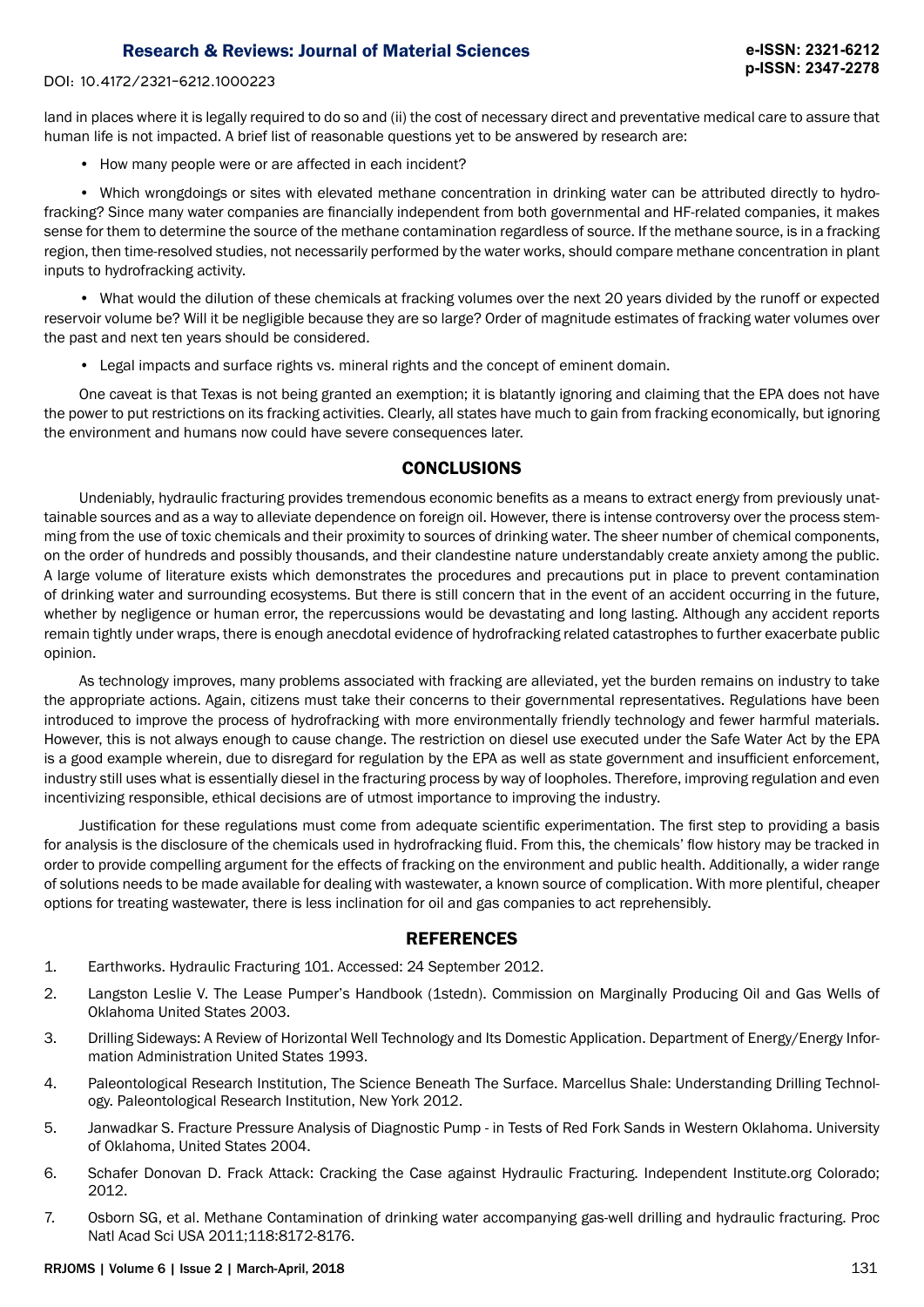DOI: 10.4172/2321-6212.1000223

land in places where it is legally required to do so and (ii) the cost of necessary direct and preventative medical care to assure that human life is not impacted. A brief list of reasonable questions yet to be answered by research are:

• How many people were or are affected in each incident?

• Which wrongdoings or sites with elevated methane concentration in drinking water can be attributed directly to hydrofracking? Since many water companies are financially independent from both governmental and HF-related companies, it makes sense for them to determine the source of the methane contamination regardless of source. If the methane source, is in a fracking region, then time-resolved studies, not necessarily performed by the water works, should compare methane concentration in plant inputs to hydrofracking activity.

• What would the dilution of these chemicals at fracking volumes over the next 20 years divided by the runoff or expected reservoir volume be? Will it be negligible because they are so large? Order of magnitude estimates of fracking water volumes over the past and next ten years should be considered.

• Legal impacts and surface rights vs. mineral rights and the concept of eminent domain.

One caveat is that Texas is not being granted an exemption; it is blatantly ignoring and claiming that the EPA does not have the power to put restrictions on its fracking activities. Clearly, all states have much to gain from fracking economically, but ignoring the environment and humans now could have severe consequences later.

## **CONCLUSIONS**

Undeniably, hydraulic fracturing provides tremendous economic benefits as a means to extract energy from previously unattainable sources and as a way to alleviate dependence on foreign oil. However, there is intense controversy over the process stemming from the use of toxic chemicals and their proximity to sources of drinking water. The sheer number of chemical components, on the order of hundreds and possibly thousands, and their clandestine nature understandably create anxiety among the public. A large volume of literature exists which demonstrates the procedures and precautions put in place to prevent contamination of drinking water and surrounding ecosystems. But there is still concern that in the event of an accident occurring in the future, whether by negligence or human error, the repercussions would be devastating and long lasting. Although any accident reports remain tightly under wraps, there is enough anecdotal evidence of hydrofracking related catastrophes to further exacerbate public opinion.

As technology improves, many problems associated with fracking are alleviated, yet the burden remains on industry to take the appropriate actions. Again, citizens must take their concerns to their governmental representatives. Regulations have been introduced to improve the process of hydrofracking with more environmentally friendly technology and fewer harmful materials. However, this is not always enough to cause change. The restriction on diesel use executed under the Safe Water Act by the EPA is a good example wherein, due to disregard for regulation by the EPA as well as state government and insufficient enforcement, industry still uses what is essentially diesel in the fracturing process by way of loopholes. Therefore, improving regulation and even incentivizing responsible, ethical decisions are of utmost importance to improving the industry.

Justification for these regulations must come from adequate scientific experimentation. The first step to providing a basis for analysis is the disclosure of the chemicals used in hydrofracking fluid. From this, the chemicals' flow history may be tracked in order to provide compelling argument for the effects of fracking on the environment and public health. Additionally, a wider range of solutions needs to be made available for dealing with wastewater, a known source of complication. With more plentiful, cheaper options for treating wastewater, there is less inclination for oil and gas companies to act reprehensibly.

## REFERENCES

- 1. Earthworks. Hydraulic Fracturing 101. Accessed: 24 September 2012.
- 2. Langston Leslie V. The Lease Pumper's Handbook (1stedn). Commission on Marginally Producing Oil and Gas Wells of Oklahoma United States 2003.
- 3. Drilling Sideways: A Review of Horizontal Well Technology and Its Domestic Application. Department of Energy/Energy Information Administration United States 1993.
- 4. Paleontological Research Institution, The Science Beneath The Surface. Marcellus Shale: Understanding Drilling Technology. Paleontological Research Institution, New York 2012.
- 5. Janwadkar S. Fracture Pressure Analysis of Diagnostic Pump in Tests of Red Fork Sands in Western Oklahoma. University of Oklahoma, United States 2004.
- 6. Schafer Donovan D. Frack Attack: Cracking the Case against Hydraulic Fracturing. Independent Institute.org Colorado; 2012.
- 7. Osborn SG, et al. Methane Contamination of drinking water accompanying gas-well drilling and hydraulic fracturing. Proc Natl Acad Sci USA 2011;118:8172-8176.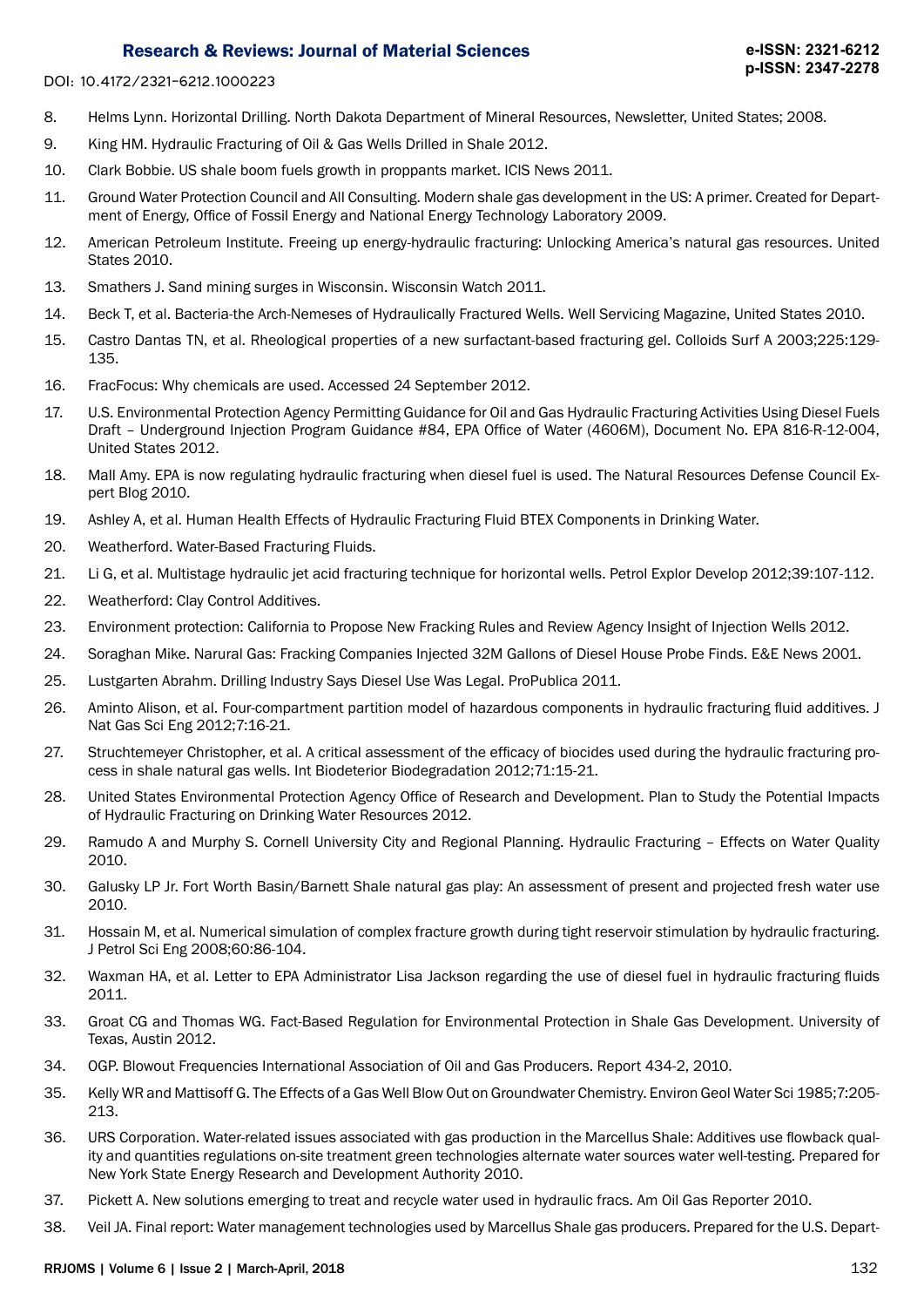DOI: 10.4172/2321-6212.1000223

- 8. Helms Lynn. Horizontal Drilling. North Dakota Department of Mineral Resources, Newsletter, United States; 2008.
- 9. King HM. Hydraulic Fracturing of Oil & Gas Wells Drilled in Shale 2012.
- 10. Clark Bobbie. US shale boom fuels growth in proppants market. ICIS News 2011.
- 11. Ground Water Protection Council and All Consulting. Modern shale gas development in the US: A primer. Created for Department of Energy, Office of Fossil Energy and National Energy Technology Laboratory 2009.
- 12. American Petroleum Institute. Freeing up energy-hydraulic fracturing: Unlocking America's natural gas resources. United States 2010.
- 13. Smathers J. Sand mining surges in Wisconsin. Wisconsin Watch 2011.
- 14. Beck T, et al. Bacteria-the Arch-Nemeses of Hydraulically Fractured Wells. Well Servicing Magazine, United States 2010.
- 15. Castro Dantas TN, et al. Rheological properties of a new surfactant-based fracturing gel. Colloids Surf A 2003;225:129- 135.
- 16. FracFocus: Why chemicals are used. Accessed 24 September 2012.
- 17. U.S. Environmental Protection Agency Permitting Guidance for Oil and Gas Hydraulic Fracturing Activities Using Diesel Fuels Draft – Underground Injection Program Guidance #84, EPA Office of Water (4606M), Document No. EPA 816-R-12-004, United States 2012.
- 18. Mall Amy. EPA is now regulating hydraulic fracturing when diesel fuel is used. The Natural Resources Defense Council Expert Blog 2010.
- 19. Ashley A, et al. Human Health Effects of Hydraulic Fracturing Fluid BTEX Components in Drinking Water.
- 20. Weatherford. Water-Based Fracturing Fluids.
- 21. Li G, et al. Multistage hydraulic jet acid fracturing technique for horizontal wells. Petrol Explor Develop 2012;39:107-112.
- 22. Weatherford: Clay Control Additives.
- 23. Environment protection: California to Propose New Fracking Rules and Review Agency Insight of Injection Wells 2012.
- 24. Soraghan Mike. Narural Gas: Fracking Companies Injected 32M Gallons of Diesel House Probe Finds. E&E News 2001.
- 25. Lustgarten Abrahm. Drilling Industry Says Diesel Use Was Legal. ProPublica 2011.
- 26. Aminto Alison, et al. Four-compartment partition model of hazardous components in hydraulic fracturing fluid additives. J Nat Gas Sci Eng 2012;7:16-21.
- 27. Struchtemeyer Christopher, et al. A critical assessment of the efficacy of biocides used during the hydraulic fracturing process in shale natural gas wells. Int Biodeterior Biodegradation 2012;71:15-21.
- 28. United States Environmental Protection Agency Office of Research and Development. Plan to Study the Potential Impacts of Hydraulic Fracturing on Drinking Water Resources 2012.
- 29. Ramudo A and Murphy S. Cornell University City and Regional Planning. Hydraulic Fracturing Effects on Water Quality 2010.
- 30. Galusky LP Jr. Fort Worth Basin/Barnett Shale natural gas play: An assessment of present and projected fresh water use 2010.
- 31. Hossain M, et al. Numerical simulation of complex fracture growth during tight reservoir stimulation by hydraulic fracturing. J Petrol Sci Eng 2008;60:86-104.
- 32. Waxman HA, et al. Letter to EPA Administrator Lisa Jackson regarding the use of diesel fuel in hydraulic fracturing fluids 2011.
- 33. Groat CG and Thomas WG. Fact-Based Regulation for Environmental Protection in Shale Gas Development. University of Texas, Austin 2012.
- 34. OGP. Blowout Frequencies International Association of Oil and Gas Producers. Report 434-2, 2010.
- 35. Kelly WR and Mattisoff G. The Effects of a Gas Well Blow Out on Groundwater Chemistry. Environ Geol Water Sci 1985;7:205- 213.
- 36. URS Corporation. Water-related issues associated with gas production in the Marcellus Shale: Additives use flowback quality and quantities regulations on-site treatment green technologies alternate water sources water well-testing. Prepared for New York State Energy Research and Development Authority 2010.
- 37. Pickett A. New solutions emerging to treat and recycle water used in hydraulic fracs. Am Oil Gas Reporter 2010.
- 38. Veil JA. Final report: Water management technologies used by Marcellus Shale gas producers. Prepared for the U.S. Depart-